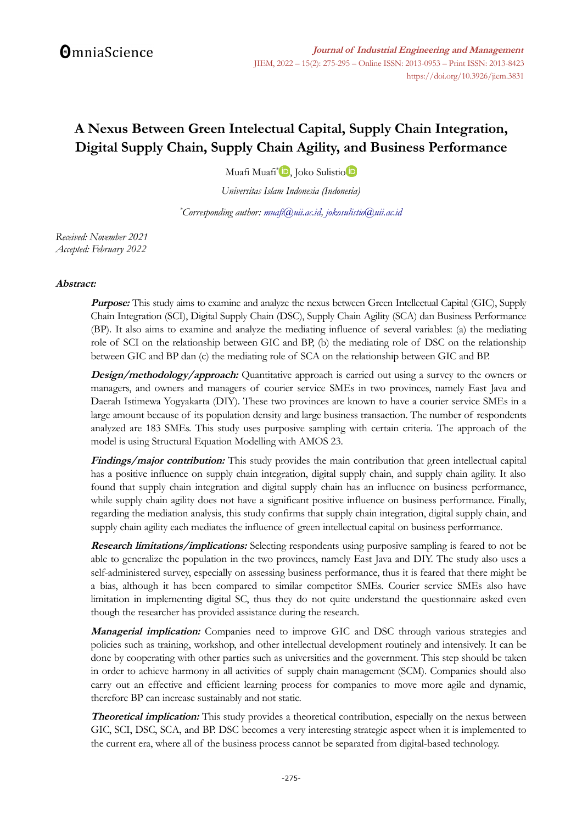# **A Nexus Between Green Intelectual Capital, Supply Chain Integration, Digital Supply Chain, Supply Chain Agility, and Business Performance**

Muafi Muafi[\\*](https://orcid.org/0000-0002-5078-4670) , Joko Sulisti[o](https://orcid.org/0000-0001-5295-7988)

*Universitas Islam Indonesia (Indonesia)*

*\*Corresponding author: [muafi@uii.ac.id,](mailto:muafi@uii.ac.id) [jokosulistio@uii.ac.id](mailto:jokosulistio@uii.ac.id)*

*Received: November 2021 Accepted: February 2022*

#### **Abstract:**

**Purpose:** This study aims to examine and analyze the nexus between Green Intellectual Capital (GIC), Supply Chain Integration (SCI), Digital Supply Chain (DSC), Supply Chain Agility (SCA) dan Business Performance (BP). It also aims to examine and analyze the mediating influence of several variables: (a) the mediating role of SCI on the relationship between GIC and BP, (b) the mediating role of DSC on the relationship between GIC and BP dan (c) the mediating role of SCA on the relationship between GIC and BP.

**Design/methodology/approach:** Quantitative approach is carried out using a survey to the owners or managers, and owners and managers of courier service SMEs in two provinces, namely East Java and Daerah Istimewa Yogyakarta (DIY). These two provinces are known to have a courier service SMEs in a large amount because of its population density and large business transaction. The number of respondents analyzed are 183 SMEs. This study uses purposive sampling with certain criteria. The approach of the model is using Structural Equation Modelling with AMOS 23.

**Findings/major contribution:** This study provides the main contribution that green intellectual capital has a positive influence on supply chain integration, digital supply chain, and supply chain agility. It also found that supply chain integration and digital supply chain has an influence on business performance, while supply chain agility does not have a significant positive influence on business performance. Finally, regarding the mediation analysis, this study confirms that supply chain integration, digital supply chain, and supply chain agility each mediates the influence of green intellectual capital on business performance.

**Research limitations/implications:** Selecting respondents using purposive sampling is feared to not be able to generalize the population in the two provinces, namely East Java and DIY. The study also uses a self-administered survey, especially on assessing business performance, thus it is feared that there might be a bias, although it has been compared to similar competitor SMEs. Courier service SMEs also have limitation in implementing digital SC, thus they do not quite understand the questionnaire asked even though the researcher has provided assistance during the research.

**Managerial implication:** Companies need to improve GIC and DSC through various strategies and policies such as training, workshop, and other intellectual development routinely and intensively. It can be done by cooperating with other parties such as universities and the government. This step should be taken in order to achieve harmony in all activities of supply chain management (SCM). Companies should also carry out an effective and efficient learning process for companies to move more agile and dynamic, therefore BP can increase sustainably and not static.

**Theoretical implication:** This study provides a theoretical contribution, especially on the nexus between GIC, SCI, DSC, SCA, and BP. DSC becomes a very interesting strategic aspect when it is implemented to the current era, where all of the business process cannot be separated from digital-based technology.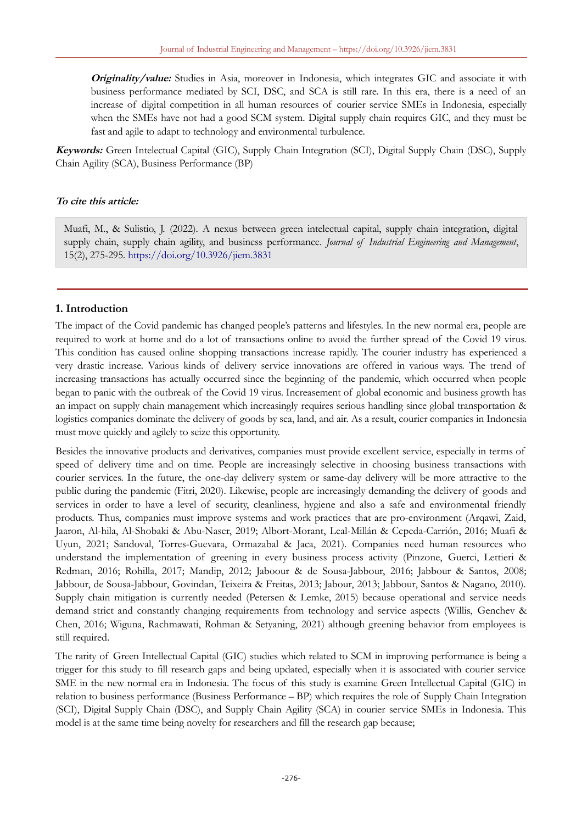**Originality/value:** Studies in Asia, moreover in Indonesia, which integrates GIC and associate it with business performance mediated by SCI, DSC, and SCA is still rare. In this era, there is a need of an increase of digital competition in all human resources of courier service SMEs in Indonesia, especially when the SMEs have not had a good SCM system. Digital supply chain requires GIC, and they must be fast and agile to adapt to technology and environmental turbulence.

**Keywords:** Green Intelectual Capital (GIC), Supply Chain Integration (SCI), Digital Supply Chain (DSC), Supply Chain Agility (SCA), Business Performance (BP)

#### **To cite this article:**

Muafi, M., & Sulistio, J. (2022). A nexus between green intelectual capital, supply chain integration, digital supply chain, supply chain agility, and business performance. *Journal of Industrial Engineering and Management*, 15(2), 275-295.<https://doi.org/10.3926/jiem.3831>

#### **1. Introduction**

The impact of the Covid pandemic has changed people's patterns and lifestyles. In the new normal era, people are required to work at home and do a lot of transactions online to avoid the further spread of the Covid 19 virus. This condition has caused online shopping transactions increase rapidly. The courier industry has experienced a very drastic increase. Various kinds of delivery service innovations are offered in various ways. The trend of increasing transactions has actually occurred since the beginning of the pandemic, which occurred when people began to panic with the outbreak of the Covid 19 virus. Increasement of global economic and business growth has an impact on supply chain management which increasingly requires serious handling since global transportation & logistics companies dominate the delivery of goods by sea, land, and air. As a result, courier companies in Indonesia must move quickly and agilely to seize this opportunity.

Besides the innovative products and derivatives, companies must provide excellent service, especially in terms of speed of delivery time and on time. People are increasingly selective in choosing business transactions with courier services. In the future, the one-day delivery system or same-day delivery will be more attractive to the public during the pandemic (Fitri, 2020). Likewise, people are increasingly demanding the delivery of goods and services in order to have a level of security, cleanliness, hygiene and also a safe and environmental friendly products. Thus, companies must improve systems and work practices that are pro-environment (Arqawi, Zaid, Jaaron, Al-hila, Al-Shobaki & Abu-Naser, 2019; Albort-Morant, Leal-Millán & Cepeda-Carrión, 2016; Muafi & Uyun, 2021; Sandoval, Torres-Guevara, Ormazabal & Jaca, 2021). Companies need human resources who understand the implementation of greening in every business process activity (Pinzone, Guerci, Lettieri & Redman, 2016; Rohilla, 2017; Mandip, 2012; Jaboour & de Sousa-Jabbour, 2016; Jabbour & Santos, 2008; Jabbour, de Sousa-Jabbour, Govindan, Teixeira & Freitas, 2013; Jabour, 2013; Jabbour, Santos & Nagano, 2010). Supply chain mitigation is currently needed (Petersen & Lemke, 2015) because operational and service needs demand strict and constantly changing requirements from technology and service aspects (Willis, Genchev & Chen, 2016; Wiguna, Rachmawati, Rohman & Setyaning, 2021) although greening behavior from employees is still required.

The rarity of Green Intellectual Capital (GIC) studies which related to SCM in improving performance is being a trigger for this study to fill research gaps and being updated, especially when it is associated with courier service SME in the new normal era in Indonesia. The focus of this study is examine Green Intellectual Capital (GIC) in relation to business performance (Business Performance – BP) which requires the role of Supply Chain Integration (SCI), Digital Supply Chain (DSC), and Supply Chain Agility (SCA) in courier service SMEs in Indonesia. This model is at the same time being novelty for researchers and fill the research gap because;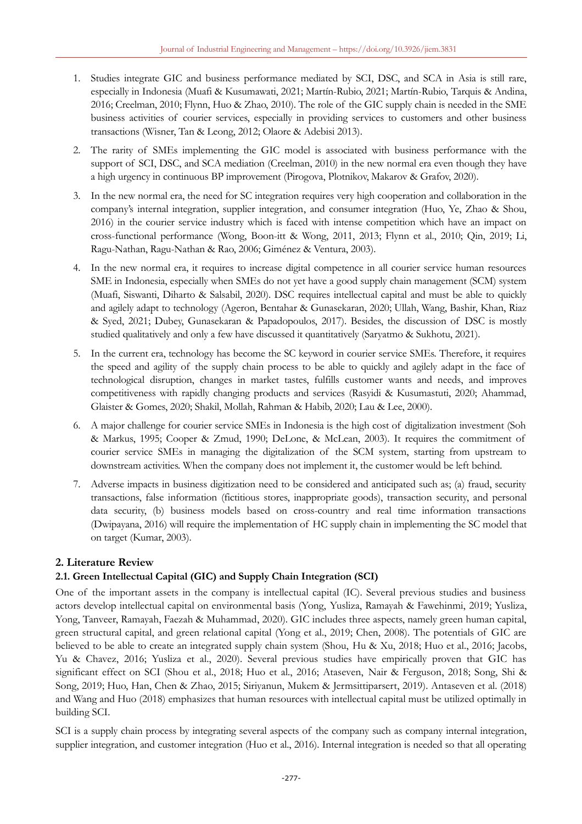- 1. Studies integrate GIC and business performance mediated by SCI, DSC, and SCA in Asia is still rare, especially in Indonesia (Muafi & Kusumawati, 2021; Martín-Rubio, 2021; Martín-Rubio, Tarquis & Andina, 2016; Creelman, 2010; Flynn, Huo & Zhao, 2010). The role of the GIC supply chain is needed in the SME business activities of courier services, especially in providing services to customers and other business transactions (Wisner, Tan & Leong, 2012; Olaore & Adebisi 2013).
- 2. The rarity of SMEs implementing the GIC model is associated with business performance with the support of SCI, DSC, and SCA mediation (Creelman, 2010) in the new normal era even though they have a high urgency in continuous BP improvement (Pirogova, Plotnikov, Makarov & Grafov, 2020).
- 3. In the new normal era, the need for SC integration requires very high cooperation and collaboration in the company's internal integration, supplier integration, and consumer integration (Huo, Ye, Zhao & Shou, 2016) in the courier service industry which is faced with intense competition which have an impact on cross-functional performance (Wong, Boon-itt & Wong, 2011, 2013; Flynn et al., 2010; Qin, 2019; Li, Ragu-Nathan, Ragu-Nathan & Rao, 2006; Giménez & Ventura, 2003).
- 4. In the new normal era, it requires to increase digital competence in all courier service human resources SME in Indonesia, especially when SMEs do not yet have a good supply chain management (SCM) system (Muafi, Siswanti, Diharto & Salsabil, 2020). DSC requires intellectual capital and must be able to quickly and agilely adapt to technology (Ageron, Bentahar & Gunasekaran, 2020; Ullah, Wang, Bashir, Khan, Riaz & Syed, 2021; Dubey, Gunasekaran & Papadopoulos, 2017). Besides, the discussion of DSC is mostly studied qualitatively and only a few have discussed it quantitatively (Saryatmo & Sukhotu, 2021).
- 5. In the current era, technology has become the SC keyword in courier service SMEs. Therefore, it requires the speed and agility of the supply chain process to be able to quickly and agilely adapt in the face of technological disruption, changes in market tastes, fulfills customer wants and needs, and improves competitiveness with rapidly changing products and services (Rasyidi & Kusumastuti, 2020; Ahammad, Glaister & Gomes, 2020; Shakil, Mollah, Rahman & Habib, 2020; Lau & Lee, 2000).
- 6. A major challenge for courier service SMEs in Indonesia is the high cost of digitalization investment (Soh & Markus, 1995; Cooper & Zmud, 1990; DeLone, & McLean, 2003). It requires the commitment of courier service SMEs in managing the digitalization of the SCM system, starting from upstream to downstream activities. When the company does not implement it, the customer would be left behind.
- 7. Adverse impacts in business digitization need to be considered and anticipated such as; (a) fraud, security transactions, false information (fictitious stores, inappropriate goods), transaction security, and personal data security, (b) business models based on cross-country and real time information transactions (Dwipayana, 2016) will require the implementation of HC supply chain in implementing the SC model that on target (Kumar, 2003).

# **2. Literature Review**

# **2.1. Green Intellectual Capital (GIC) and Supply Chain Integration (SCI)**

One of the important assets in the company is intellectual capital (IC). Several previous studies and business actors develop intellectual capital on environmental basis (Yong, Yusliza, Ramayah & Fawehinmi, 2019; Yusliza, Yong, Tanveer, Ramayah, Faezah & Muhammad, 2020). GIC includes three aspects, namely green human capital, green structural capital, and green relational capital (Yong et al., 2019; Chen, 2008). The potentials of GIC are believed to be able to create an integrated supply chain system (Shou, Hu & Xu, 2018; Huo et al., 2016; Jacobs, Yu & Chavez, 2016; Yusliza et al., 2020). Several previous studies have empirically proven that GIC has significant effect on SCI (Shou et al., 2018; Huo et al., 2016; Ataseven, Nair & Ferguson, 2018; Song, Shi & Song, 2019; Huo, Han, Chen & Zhao, 2015; Siriyanun, Mukem & Jermsittiparsert, 2019). Antaseven et al. (2018) and Wang and Huo (2018) emphasizes that human resources with intellectual capital must be utilized optimally in building SCI.

SCI is a supply chain process by integrating several aspects of the company such as company internal integration, supplier integration, and customer integration (Huo et al., 2016). Internal integration is needed so that all operating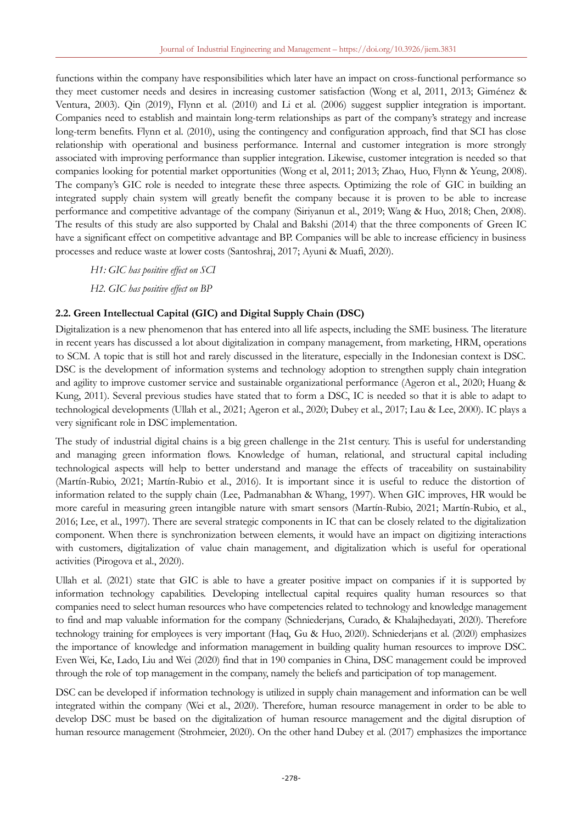functions within the company have responsibilities which later have an impact on cross-functional performance so they meet customer needs and desires in increasing customer satisfaction (Wong et al, 2011, 2013; Giménez & Ventura, 2003). Qin (2019), Flynn et al. (2010) and Li et al. (2006) suggest supplier integration is important. Companies need to establish and maintain long-term relationships as part of the company's strategy and increase long-term benefits. Flynn et al. (2010), using the contingency and configuration approach, find that SCI has close relationship with operational and business performance. Internal and customer integration is more strongly associated with improving performance than supplier integration. Likewise, customer integration is needed so that companies looking for potential market opportunities (Wong et al, 2011; 2013; Zhao, Huo, Flynn & Yeung, 2008). The company's GIC role is needed to integrate these three aspects. Optimizing the role of GIC in building an integrated supply chain system will greatly benefit the company because it is proven to be able to increase performance and competitive advantage of the company (Siriyanun et al., 2019; Wang & Huo, 2018; Chen, 2008). The results of this study are also supported by Chalal and Bakshi (2014) that the three components of Green IC have a significant effect on competitive advantage and BP. Companies will be able to increase efficiency in business processes and reduce waste at lower costs (Santoshraj, 2017; Ayuni & Muafi, 2020).

*H1: GIC has positive effect on SCI*

*H2. GIC has positive effect on BP*

# **2.2. Green Intellectual Capital (GIC) and Digital Supply Chain (DSC)**

Digitalization is a new phenomenon that has entered into all life aspects, including the SME business. The literature in recent years has discussed a lot about digitalization in company management, from marketing, HRM, operations to SCM. A topic that is still hot and rarely discussed in the literature, especially in the Indonesian context is DSC. DSC is the development of information systems and technology adoption to strengthen supply chain integration and agility to improve customer service and sustainable organizational performance (Ageron et al., 2020; Huang & Kung, 2011). Several previous studies have stated that to form a DSC, IC is needed so that it is able to adapt to technological developments (Ullah et al., 2021; Ageron et al., 2020; Dubey et al., 2017; Lau & Lee, 2000). IC plays a very significant role in DSC implementation.

The study of industrial digital chains is a big green challenge in the 21st century. This is useful for understanding and managing green information flows. Knowledge of human, relational, and structural capital including technological aspects will help to better understand and manage the effects of traceability on sustainability (Martín-Rubio, 2021; Martín-Rubio et al., 2016). It is important since it is useful to reduce the distortion of information related to the supply chain (Lee, Padmanabhan & Whang, 1997). When GIC improves, HR would be more careful in measuring green intangible nature with smart sensors (Martín-Rubio, 2021; Martín-Rubio, et al., 2016; Lee, et al., 1997). There are several strategic components in IC that can be closely related to the digitalization component. When there is synchronization between elements, it would have an impact on digitizing interactions with customers, digitalization of value chain management, and digitalization which is useful for operational activities (Pirogova et al., 2020).

Ullah et al. (2021) state that GIC is able to have a greater positive impact on companies if it is supported by information technology capabilities. Developing intellectual capital requires quality human resources so that companies need to select human resources who have competencies related to technology and knowledge management to find and map valuable information for the company (Schniederjans, Curado, & Khalajhedayati, 2020). Therefore technology training for employees is very important (Haq, Gu & Huo, 2020). Schniederjans et al. (2020) emphasizes the importance of knowledge and information management in building quality human resources to improve DSC. Even Wei, Ke, Lado, Liu and Wei (2020) find that in 190 companies in China, DSC management could be improved through the role of top management in the company, namely the beliefs and participation of top management.

DSC can be developed if information technology is utilized in supply chain management and information can be well integrated within the company (Wei et al., 2020). Therefore, human resource management in order to be able to develop DSC must be based on the digitalization of human resource management and the digital disruption of human resource management (Strohmeier, 2020). On the other hand Dubey et al. (2017) emphasizes the importance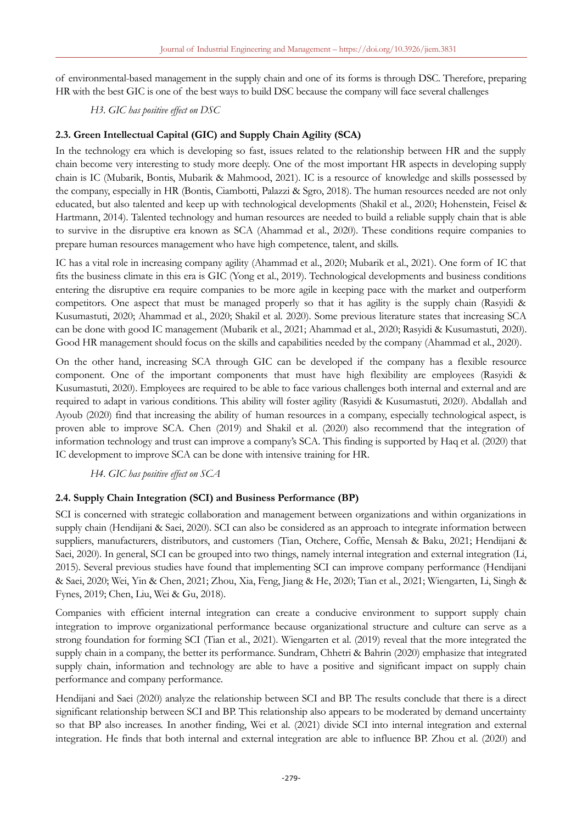of environmental-based management in the supply chain and one of its forms is through DSC. Therefore, preparing HR with the best GIC is one of the best ways to build DSC because the company will face several challenges

*H3. GIC has positive effect on DSC*

# **2.3. Green Intellectual Capital (GIC) and Supply Chain Agility (SCA)**

In the technology era which is developing so fast, issues related to the relationship between HR and the supply chain become very interesting to study more deeply. One of the most important HR aspects in developing supply chain is IC (Mubarik, Bontis, Mubarik & Mahmood, 2021). IC is a resource of knowledge and skills possessed by the company, especially in HR (Bontis, Ciambotti, Palazzi & Sgro, 2018). The human resources needed are not only educated, but also talented and keep up with technological developments (Shakil et al., 2020; Hohenstein, Feisel & Hartmann, 2014). Talented technology and human resources are needed to build a reliable supply chain that is able to survive in the disruptive era known as SCA (Ahammad et al., 2020). These conditions require companies to prepare human resources management who have high competence, talent, and skills.

IC has a vital role in increasing company agility (Ahammad et al., 2020; Mubarik et al., 2021). One form of IC that fits the business climate in this era is GIC (Yong et al., 2019). Technological developments and business conditions entering the disruptive era require companies to be more agile in keeping pace with the market and outperform competitors. One aspect that must be managed properly so that it has agility is the supply chain (Rasyidi & Kusumastuti, 2020; Ahammad et al., 2020; Shakil et al. 2020). Some previous literature states that increasing SCA can be done with good IC management (Mubarik et al., 2021; Ahammad et al., 2020; Rasyidi & Kusumastuti, 2020). Good HR management should focus on the skills and capabilities needed by the company (Ahammad et al., 2020).

On the other hand, increasing SCA through GIC can be developed if the company has a flexible resource component. One of the important components that must have high flexibility are employees (Rasyidi & Kusumastuti, 2020). Employees are required to be able to face various challenges both internal and external and are required to adapt in various conditions. This ability will foster agility (Rasyidi & Kusumastuti, 2020). Abdallah and Ayoub (2020) find that increasing the ability of human resources in a company, especially technological aspect, is proven able to improve SCA. Chen (2019) and Shakil et al. (2020) also recommend that the integration of information technology and trust can improve a company's SCA. This finding is supported by Haq et al. (2020) that IC development to improve SCA can be done with intensive training for HR.

*H4. GIC has positive effect on SCA*

# **2.4. Supply Chain Integration (SCI) and Business Performance (BP)**

SCI is concerned with strategic collaboration and management between organizations and within organizations in supply chain (Hendijani & Saei, 2020). SCI can also be considered as an approach to integrate information between suppliers, manufacturers, distributors, and customers (Tian, Otchere, Coffie, Mensah & Baku, 2021; Hendijani & Saei, 2020). In general, SCI can be grouped into two things, namely internal integration and external integration (Li, 2015). Several previous studies have found that implementing SCI can improve company performance (Hendijani & Saei, 2020; Wei, Yin & Chen, 2021; Zhou, Xia, Feng, Jiang & He, 2020; Tian et al., 2021; Wiengarten, Li, Singh & Fynes, 2019; Chen, Liu, Wei & Gu, 2018).

Companies with efficient internal integration can create a conducive environment to support supply chain integration to improve organizational performance because organizational structure and culture can serve as a strong foundation for forming SCI (Tian et al., 2021). Wiengarten et al. (2019) reveal that the more integrated the supply chain in a company, the better its performance. Sundram, Chhetri & Bahrin (2020) emphasize that integrated supply chain, information and technology are able to have a positive and significant impact on supply chain performance and company performance.

Hendijani and Saei (2020) analyze the relationship between SCI and BP. The results conclude that there is a direct significant relationship between SCI and BP. This relationship also appears to be moderated by demand uncertainty so that BP also increases. In another finding, Wei et al. (2021) divide SCI into internal integration and external integration. He finds that both internal and external integration are able to influence BP. Zhou et al. (2020) and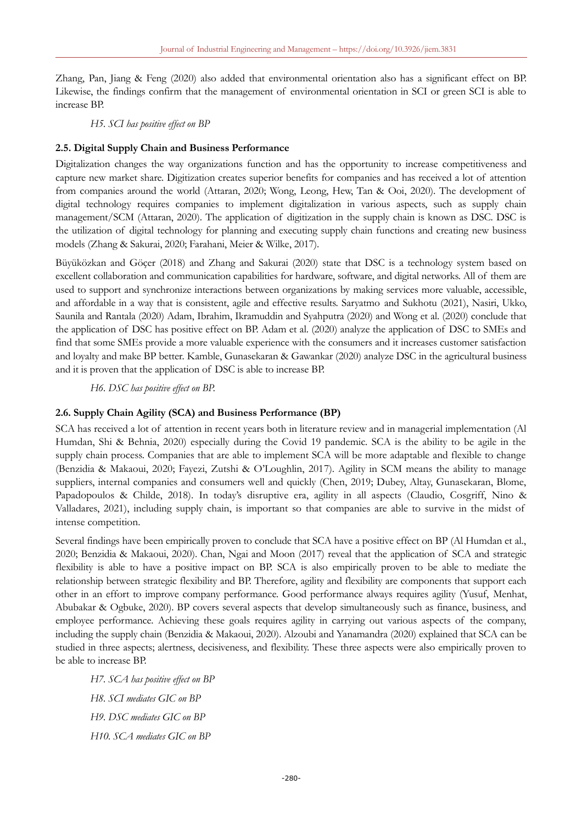Zhang, Pan, Jiang & Feng (2020) also added that environmental orientation also has a significant effect on BP. Likewise, the findings confirm that the management of environmental orientation in SCI or green SCI is able to increase BP.

*H5. SCI has positive effect on BP*

### **2.5. Digital Supply Chain and Business Performance**

Digitalization changes the way organizations function and has the opportunity to increase competitiveness and capture new market share. Digitization creates superior benefits for companies and has received a lot of attention from companies around the world (Attaran, 2020; Wong, Leong, Hew, Tan & Ooi, 2020). The development of digital technology requires companies to implement digitalization in various aspects, such as supply chain management/SCM (Attaran, 2020). The application of digitization in the supply chain is known as DSC. DSC is the utilization of digital technology for planning and executing supply chain functions and creating new business models (Zhang & Sakurai, 2020; Farahani, Meier & Wilke, 2017).

Büyüközkan and Göçer (2018) and Zhang and Sakurai (2020) state that DSC is a technology system based on excellent collaboration and communication capabilities for hardware, software, and digital networks. All of them are used to support and synchronize interactions between organizations by making services more valuable, accessible, and affordable in a way that is consistent, agile and effective results. Saryatmo and Sukhotu (2021), Nasiri, Ukko, Saunila and Rantala (2020) Adam, Ibrahim, Ikramuddin and Syahputra (2020) and Wong et al. (2020) conclude that the application of DSC has positive effect on BP. Adam et al. (2020) analyze the application of DSC to SMEs and find that some SMEs provide a more valuable experience with the consumers and it increases customer satisfaction and loyalty and make BP better. Kamble, Gunasekaran & Gawankar (2020) analyze DSC in the agricultural business and it is proven that the application of DSC is able to increase BP.

*H6. DSC has positive effect on BP.*

### **2.6. Supply Chain Agility (SCA) and Business Performance (BP)**

SCA has received a lot of attention in recent years both in literature review and in managerial implementation (Al Humdan, Shi & Behnia, 2020) especially during the Covid 19 pandemic. SCA is the ability to be agile in the supply chain process. Companies that are able to implement SCA will be more adaptable and flexible to change (Benzidia & Makaoui, 2020; Fayezi, Zutshi & O'Loughlin, 2017). Agility in SCM means the ability to manage suppliers, internal companies and consumers well and quickly (Chen, 2019; Dubey, Altay, Gunasekaran, Blome, Papadopoulos & Childe, 2018). In today's disruptive era, agility in all aspects (Claudio, Cosgriff, Nino & Valladares, 2021), including supply chain, is important so that companies are able to survive in the midst of intense competition.

Several findings have been empirically proven to conclude that SCA have a positive effect on BP (Al Humdan et al., 2020; Benzidia & Makaoui, 2020). Chan, Ngai and Moon (2017) reveal that the application of SCA and strategic flexibility is able to have a positive impact on BP. SCA is also empirically proven to be able to mediate the relationship between strategic flexibility and BP. Therefore, agility and flexibility are components that support each other in an effort to improve company performance. Good performance always requires agility (Yusuf, Menhat, Abubakar & Ogbuke, 2020). BP covers several aspects that develop simultaneously such as finance, business, and employee performance. Achieving these goals requires agility in carrying out various aspects of the company, including the supply chain (Benzidia & Makaoui, 2020). Alzoubi and Yanamandra (2020) explained that SCA can be studied in three aspects; alertness, decisiveness, and flexibility. These three aspects were also empirically proven to be able to increase BP.

*H7. SCA has positive effect on BP H8. SCI mediates GIC on BP H9. DSC mediates GIC on BP H10. SCA mediates GIC on BP*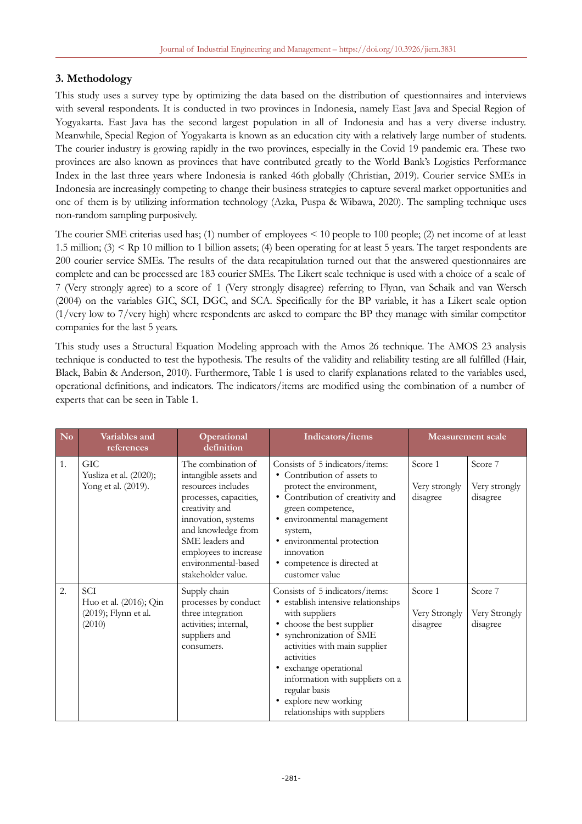# **3. Methodology**

This study uses a survey type by optimizing the data based on the distribution of questionnaires and interviews with several respondents. It is conducted in two provinces in Indonesia, namely East Java and Special Region of Yogyakarta. East Java has the second largest population in all of Indonesia and has a very diverse industry. Meanwhile, Special Region of Yogyakarta is known as an education city with a relatively large number of students. The courier industry is growing rapidly in the two provinces, especially in the Covid 19 pandemic era. These two provinces are also known as provinces that have contributed greatly to the World Bank's Logistics Performance Index in the last three years where Indonesia is ranked 46th globally (Christian, 2019). Courier service SMEs in Indonesia are increasingly competing to change their business strategies to capture several market opportunities and one of them is by utilizing information technology (Azka, Puspa & Wibawa, 2020). The sampling technique uses non-random sampling purposively.

The courier SME criterias used has; (1) number of employees < 10 people to 100 people; (2) net income of at least 1.5 million; (3) < Rp 10 million to 1 billion assets; (4) been operating for at least 5 years. The target respondents are 200 courier service SMEs. The results of the data recapitulation turned out that the answered questionnaires are complete and can be processed are 183 courier SMEs. The Likert scale technique is used with a choice of a scale of 7 (Very strongly agree) to a score of 1 (Very strongly disagree) referring to Flynn, van Schaik and van Wersch (2004) on the variables GIC, SCI, DGC, and SCA. Specifically for the BP variable, it has a Likert scale option (1/very low to 7/very high) where respondents are asked to compare the BP they manage with similar competitor companies for the last 5 years.

This study uses a Structural Equation Modeling approach with the Amos 26 technique. The AMOS 23 analysis technique is conducted to test the hypothesis. The results of the validity and reliability testing are all fulfilled (Hair, Black, Babin & Anderson, 2010). Furthermore, Table 1 is used to clarify explanations related to the variables used, operational definitions, and indicators. The indicators/items are modified using the combination of a number of experts that can be seen in Table 1.

| N <sub>o</sub> | Variables and<br>references                                            | Operational<br>definition                                                                                                                                                                                                                           | Indicators/items                                                                                                                                                                                                                                                                                                                                  |                                      | <b>Measurement scale</b>             |
|----------------|------------------------------------------------------------------------|-----------------------------------------------------------------------------------------------------------------------------------------------------------------------------------------------------------------------------------------------------|---------------------------------------------------------------------------------------------------------------------------------------------------------------------------------------------------------------------------------------------------------------------------------------------------------------------------------------------------|--------------------------------------|--------------------------------------|
| 1.             | <b>GIC</b><br>Yusliza et al. (2020);<br>Yong et al. (2019).            | The combination of<br>intangible assets and<br>resources includes<br>processes, capacities,<br>creativity and<br>innovation, systems<br>and knowledge from<br>SME leaders and<br>employees to increase<br>environmental-based<br>stakeholder value. | Consists of 5 indicators/items:<br>• Contribution of assets to<br>protect the environment,<br>• Contribution of creativity and<br>green competence,<br>· environmental management<br>system,<br>· environmental protection<br>innovation<br>• competence is directed at<br>customer value                                                         | Score 1<br>Very strongly<br>disagree | Score 7<br>Very strongly<br>disagree |
| 2.             | <b>SCI</b><br>Huo et al. (2016); Qin<br>(2019); Flynn et al.<br>(2010) | Supply chain<br>processes by conduct<br>three integration<br>activities; internal,<br>suppliers and<br>consumers.                                                                                                                                   | Consists of 5 indicators/items:<br>• establish intensive relationships<br>with suppliers<br>choose the best supplier<br>٠<br>synchronization of SME<br>٠<br>activities with main supplier<br>activities<br>exchange operational<br>٠<br>information with suppliers on a<br>regular basis<br>• explore new working<br>relationships with suppliers | Score 1<br>Very Strongly<br>disagree | Score 7<br>Very Strongly<br>disagree |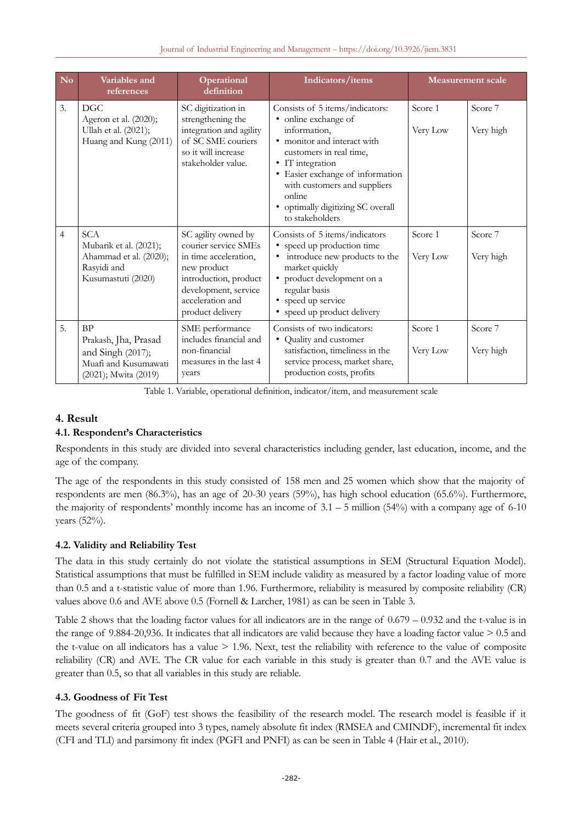#### Journal of Industrial Engineering and Management – https://doi.org/10.3926/jiem.3831

| No             | Variables and<br>references                                                                            | Operational<br>definition                                                                                                                                                                                                                                                                                                                                                                             | Indicators/items                                                                                                                                                                                                                                                                            |                     | <b>Measurement scale</b> |
|----------------|--------------------------------------------------------------------------------------------------------|-------------------------------------------------------------------------------------------------------------------------------------------------------------------------------------------------------------------------------------------------------------------------------------------------------------------------------------------------------------------------------------------------------|---------------------------------------------------------------------------------------------------------------------------------------------------------------------------------------------------------------------------------------------------------------------------------------------|---------------------|--------------------------|
| 3.             | DGC<br>Ageron et al. (2020);<br>Ullah et al. (2021);<br>Huang and Kung (2011)                          | SC digitization in<br>strengthening the<br>integration and agility<br>of SC SME couriers<br>so it will increase<br>stakeholder value.                                                                                                                                                                                                                                                                 | Consists of 5 items/indicators:<br>• online exchange of<br>information,<br>• monitor and interact with<br>customers in real time,<br>• IT integration<br>• Easier exchange of information<br>with customers and suppliers<br>online<br>• optimally digitizing SC overall<br>to stakeholders | Score 1<br>Very Low | Score 7<br>Very high     |
| $\overline{4}$ | <b>SCA</b><br>Mubarik et al. (2021);<br>Ahammad et al. (2020);<br>Rasyidi and<br>Kusumastuti (2020)    | SC agility owned by<br>Consists of 5 items/indicators<br>courier service SMEs<br>• speed up production time<br>• introduce new products to the<br>in time acceleration,<br>market quickly<br>new product<br>• product development on a<br>introduction, product<br>development, service<br>regular basis<br>acceleration and<br>• speed up service<br>• speed up product delivery<br>product delivery |                                                                                                                                                                                                                                                                                             | Score 1<br>Very Low | Score 7<br>Very high     |
| 5.             | <b>BP</b><br>Prakash, Jha, Prasad<br>and Singh (2017);<br>Muafi and Kusumawati<br>(2021); Mwita (2019) | SME performance<br>includes financial and<br>non-financial<br>measures in the last 4<br>years                                                                                                                                                                                                                                                                                                         | Consists of two indicators:<br>Quality and customer<br>٠<br>satisfaction, timeliness in the<br>service process, market share,<br>production costs, profits                                                                                                                                  | Score 1<br>Very Low | Score 7<br>Very high     |

Table 1. Variable, operational definition, indicator/item, and measurement scale

# **4. Result**

# **4.1. Respondent's Characteristics**

Respondents in this study are divided into several characteristics including gender, last education, income, and the age of the company.

The age of the respondents in this study consisted of 158 men and 25 women which show that the majority of respondents are men (86.3%), has an age of 20-30 years (59%), has high school education (65.6%). Furthermore, the majority of respondents' monthly income has an income of  $3.1 - 5$  million (54%) with a company age of 6-10 years (52%).

# **4.2. Validity and Reliability Test**

The data in this study certainly do not violate the statistical assumptions in SEM (Structural Equation Model). Statistical assumptions that must be fulfilled in SEM include validity as measured by a factor loading value of more than 0.5 and a t-statistic value of more than 1.96. Furthermore, reliability is measured by composite reliability (CR) values above 0.6 and AVE above 0.5 (Fornell & Larcher, 1981) as can be seen in Table 3.

Table 2 shows that the loading factor values for all indicators are in the range of  $0.679 - 0.932$  and the t-value is in the range of  $9.884-20.936$ . It indicates that all indicators are valid because they have a loading factor value  $> 0.5$  and the t-value on all indicators has a value  $> 1.96$ . Next, test the reliability with reference to the value of composite reliability (CR) and AVE. The CR value for each variable in this study is greater than 0.7 and the AVE value is greater than 0.5, so that all variables in this study are reliable.

### **4.3. Goodness of Fit Test**

The goodness of fit (GoF) test shows the feasibility of the research model. The research model is feasible if it meets several criteria grouped into 3 types, namely absolute fit index (RMSEA and CMINDF), incremental fit index (CFI and TLI) and parsimony fit index (PGFI and PNFI) as can be seen in Table 4 (Hair et al., 2010).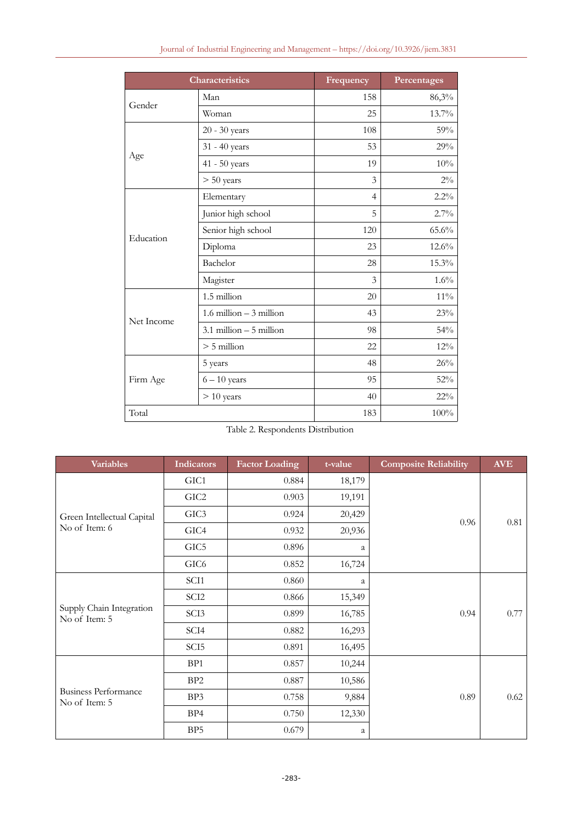|  |  | Journal of Industrial Engineering and Management - https://doi.org/10.3926/jiem.3831 |  |  |
|--|--|--------------------------------------------------------------------------------------|--|--|
|--|--|--------------------------------------------------------------------------------------|--|--|

|            | <b>Characteristics</b>     | Frequency      | Percentages |
|------------|----------------------------|----------------|-------------|
| Gender     | Man                        | 158            | 86,3%       |
|            | Woman                      | 25             | 13.7%       |
|            | 20 - 30 years              | 108            | 59%         |
|            | 31 - 40 years              | 53             | 29%         |
| Age        | $41 - 50$ years            | 19             | 10%         |
|            | $> 50$ years               | 3              | $2\%$       |
|            | Elementary                 | $\overline{4}$ | 2.2%        |
|            | Junior high school         | 5              | 2.7%        |
| Education  | Senior high school         | 120            | 65.6%       |
|            | Diploma                    | 23             | 12.6%       |
|            | Bachelor                   | 28             | 15.3%       |
|            | Magister                   | 3              | 1.6%        |
|            | 1.5 million                | 20             | $11\%$      |
|            | $1.6$ million $-3$ million | 43             | 23%         |
| Net Income | $3.1$ million $-5$ million | 98             | 54%         |
|            | $> 5$ million              | 22             | 12%         |
|            | 5 years                    | 48             | 26%         |
| Firm Age   | $6 - 10$ years             | 95             | 52%         |
|            | $> 10$ years               | 40             | $22\%$      |
| Total      |                            | 183            | 100%        |

Table 2. Respondents Distribution

| <b>Variables</b>                             | <b>Indicators</b>      | <b>Factor Loading</b> | t-value | <b>Composite Reliability</b> | <b>AVE</b> |
|----------------------------------------------|------------------------|-----------------------|---------|------------------------------|------------|
|                                              | GIC <sub>1</sub>       | 0.884                 | 18,179  |                              |            |
|                                              | GIC <sub>2</sub>       | 0.903                 | 19,191  |                              |            |
| Green Intellectual Capital                   | GIC <sub>3</sub>       | 0.924                 | 20,429  | 0.96                         | 0.81       |
| No of Item: 6                                | GIC4                   | 0.932                 | 20,936  |                              |            |
|                                              | GIC5                   | 0.896                 | a       |                              |            |
|                                              | GIC <sub>6</sub>       | 0.852                 | 16,724  |                              |            |
|                                              | SCI1                   | 0.860                 | a       |                              |            |
|                                              | SCI <sub>2</sub>       | 0.866                 | 15,349  |                              |            |
| Supply Chain Integration<br>No of Item: 5    | SCI <sub>3</sub>       | 0.899                 | 16,785  | 0.94                         | 0.77       |
|                                              | SCI <sub>4</sub>       | 0.882                 | 16,293  |                              |            |
|                                              | SCI <sub>5</sub>       | 0.891                 | 16,495  |                              |            |
|                                              | BP <sub>1</sub>        | 0.857                 | 10,244  |                              |            |
|                                              | BP <sub>2</sub>        | 0.887                 | 10,586  |                              |            |
| <b>Business Performance</b><br>No of Item: 5 | BP3                    | 0.758                 | 9,884   | 0.89                         | 0.62       |
|                                              | BP4<br>0.750<br>12,330 |                       |         |                              |            |
|                                              | BP <sub>5</sub>        | 0.679                 | a       |                              |            |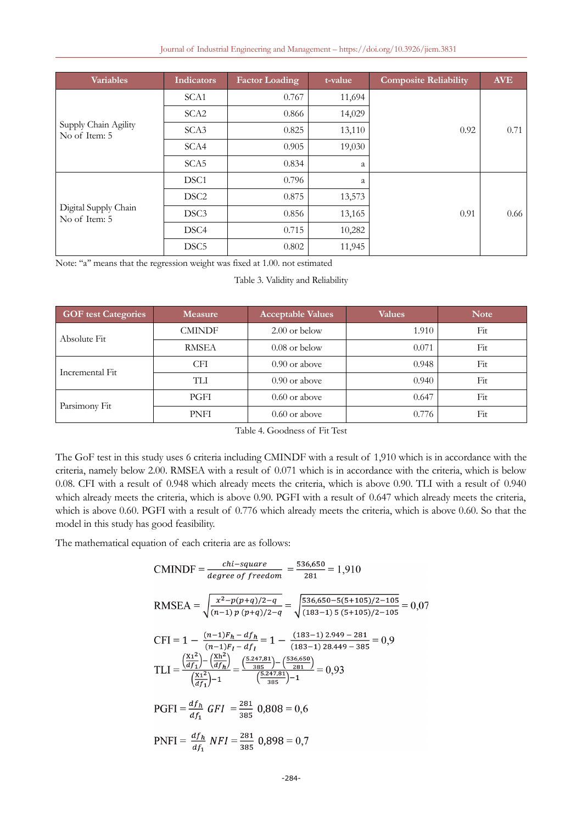| Journal of Industrial Engineering and Management - https://doi.org/10.3926/jiem.3831 |  |  |  |  |  |  |
|--------------------------------------------------------------------------------------|--|--|--|--|--|--|
|--------------------------------------------------------------------------------------|--|--|--|--|--|--|

| <b>Variables</b>                      | <b>Indicators</b> | <b>Factor Loading</b> | t-value | <b>Composite Reliability</b> | <b>AVE</b> |
|---------------------------------------|-------------------|-----------------------|---------|------------------------------|------------|
|                                       | SCA <sub>1</sub>  | 0.767                 | 11,694  |                              |            |
|                                       | SCA <sub>2</sub>  | 0.866                 | 14,029  |                              |            |
| Supply Chain Agility<br>No of Item: 5 | SCA3              | 0.825                 | 13,110  | 0.92                         | 0.71       |
|                                       | SCA4              | 0.905                 | 19,030  |                              |            |
|                                       | SCA5              | 0.834                 | a       |                              |            |
|                                       | DSC <sub>1</sub>  | 0.796                 | a       |                              |            |
|                                       | DSC <sub>2</sub>  | 0.875                 | 13,573  |                              |            |
| Digital Supply Chain<br>No of Item: 5 | DSC <sub>3</sub>  | 0.856                 | 13,165  | 0.91                         | 0.66       |
|                                       | DSC <sub>4</sub>  | 0.715                 | 10,282  |                              |            |
|                                       | DSC <sub>5</sub>  | 0.802                 | 11,945  |                              |            |

Note: "a" means that the regression weight was fixed at 1.00. not estimated

#### Table 3. Validity and Reliability

| <b>GOF test Categories</b> | <b>Measure</b> | <b>Acceptable Values</b> | <b>Values</b> | <b>Note</b> |
|----------------------------|----------------|--------------------------|---------------|-------------|
| Absolute Fit               | <b>CMINDF</b>  | $2.00$ or below          | 1.910         | Fit         |
|                            | <b>RMSEA</b>   | $0.08$ or below          | 0.071         | Fit         |
| Incremental Fit            | <b>CFI</b>     | $0.90$ or above          | 0.948         | Fit         |
|                            | TH             | $0.90$ or above          | 0.940         | Fit         |
|                            | PGFI           | $0.60$ or above          | 0.647         | Fit         |
| Parsimony Fit              | PNFI           | $0.60$ or above          | 0.776         | Fit         |

| Table 4. Goodness of Fit Test |  |
|-------------------------------|--|
|-------------------------------|--|

The GoF test in this study uses 6 criteria including CMINDF with a result of 1,910 which is in accordance with the criteria, namely below 2.00. RMSEA with a result of 0.071 which is in accordance with the criteria, which is below 0.08. CFI with a result of 0.948 which already meets the criteria, which is above 0.90. TLI with a result of 0.940 which already meets the criteria, which is above 0.90. PGFI with a result of 0.647 which already meets the criteria, which is above 0.60. PGFI with a result of 0.776 which already meets the criteria, which is above 0.60. So that the model in this study has good feasibility.

The mathematical equation of each criteria are as follows:

$$
\text{CMINDF} = \frac{chi - q \cdot \text{square}}{\text{degree of freedom}} = \frac{536,650}{281} = 1,910
$$
\n
$$
\text{RMSEA} = \sqrt{\frac{x^2 - p(p+q)/2 - q}{(n-1) p (p+q)/2 - q}} = \sqrt{\frac{536,650 - 5(5+105)/2 - 105}{(183-1) 5 (5+105)/2 - 105}} = 0,07
$$
\n
$$
\text{CFI} = 1 - \frac{(n-1)F_h - df_h}{(n-1)F_I - df_I} = 1 - \frac{(183-1) 2.949 - 281}{(183-1) 28.449 - 385} = 0,9
$$
\n
$$
\text{TLI} = \frac{\left(\frac{x1^2}{df_1}\right) - \left(\frac{xh^2}{df_h}\right)}{\left(\frac{x1^2}{df_1}\right) - 1} = \frac{\left(\frac{5.247,81}{5.285}\right) - \left(\frac{5.247,81}{281}\right)}{\left(\frac{5.247,81}{385}\right) - 1} = 0,93
$$
\n
$$
\text{PGFI} = \frac{df_h}{df_1} \text{ GFI} = \frac{281}{385} \text{ 0,808} = 0,6
$$
\n
$$
\text{PNFI} = \frac{df_h}{df_1} \text{ NFI} = \frac{281}{385} \text{ 0,898} = 0,7
$$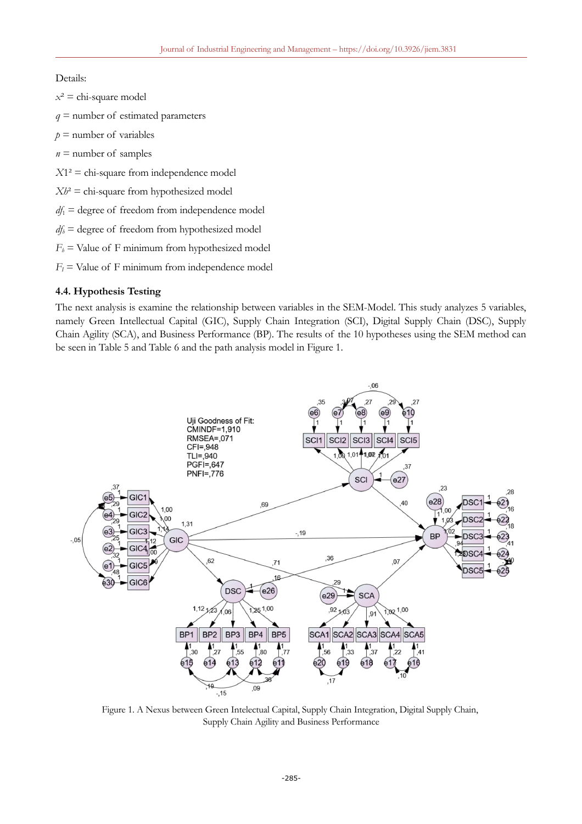### Details:

 $x^2$  = chi-square model *q* = number of estimated parameters  $p =$  number of variables

 $n =$  number of samples

 $X1<sup>2</sup>$  = chi-square from independence model

 $Xh^2 =$  chi-square from hypothesized model

 $df_1$  = degree of freedom from independence model

 $df_b$  = degree of freedom from hypothesized model

 $F_h$  = Value of F minimum from hypothesized model

 $F_I$  = Value of F minimum from independence model

#### **4.4. Hypothesis Testing**

The next analysis is examine the relationship between variables in the SEM-Model. This study analyzes 5 variables, namely Green Intellectual Capital (GIC), Supply Chain Integration (SCI), Digital Supply Chain (DSC), Supply Chain Agility (SCA), and Business Performance (BP). The results of the 10 hypotheses using the SEM method can be seen in Table 5 and Table 6 and the path analysis model in Figure 1.



Figure 1. A Nexus between Green Intelectual Capital, Supply Chain Integration, Digital Supply Chain, Supply Chain Agility and Business Performance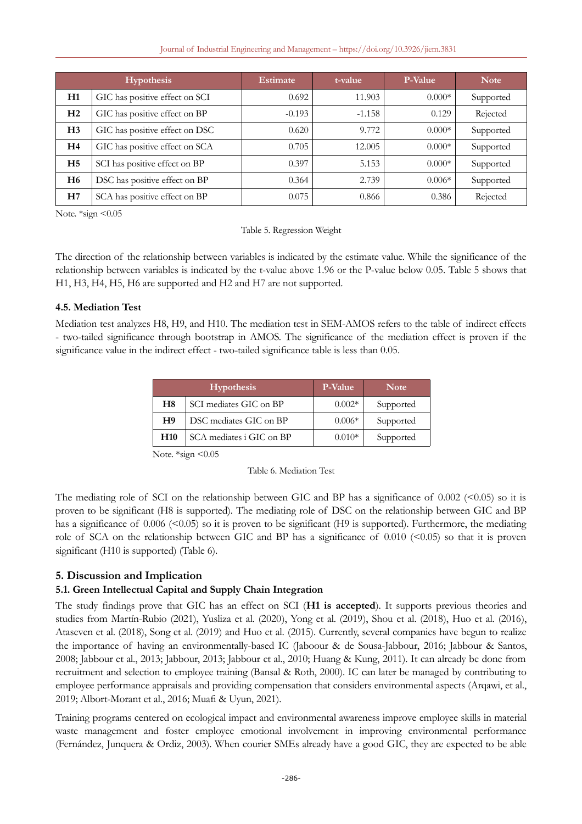#### Journal of Industrial Engineering and Management – https://doi.org/10.3926/jiem.3831

| <b>Hypothesis</b> |                                | <b>Estimate</b> | t-value  | <b>P-Value</b> | <b>Note</b> |
|-------------------|--------------------------------|-----------------|----------|----------------|-------------|
| H1                | GIC has positive effect on SCI | 0.692           | 11.903   | $0.000*$       | Supported   |
| H2                | GIC has positive effect on BP  | $-0.193$        | $-1.158$ | 0.129          | Rejected    |
| H <sub>3</sub>    | GIC has positive effect on DSC | 0.620           | 9.772    | $0.000*$       | Supported   |
| H4                | GIC has positive effect on SCA | 0.705           | 12.005   | $0.000*$       | Supported   |
| H <sub>5</sub>    | SCI has positive effect on BP  | 0.397           | 5.153    | $0.000*$       | Supported   |
| H <sub>6</sub>    | DSC has positive effect on BP  | 0.364           | 2.739    | $0.006*$       | Supported   |
| H7                | SCA has positive effect on BP  | 0.075           | 0.866    | 0.386          | Rejected    |

Note. \*sign <0.05

#### Table 5. Regression Weight

The direction of the relationship between variables is indicated by the estimate value. While the significance of the relationship between variables is indicated by the t-value above 1.96 or the P-value below 0.05. Table 5 shows that H1, H3, H4, H5, H6 are supported and H2 and H7 are not supported.

### **4.5. Mediation Test**

Mediation test analyzes H8, H9, and H10. The mediation test in SEM-AMOS refers to the table of indirect effects - two-tailed significance through bootstrap in AMOS. The significance of the mediation effect is proven if the significance value in the indirect effect - two-tailed significance table is less than 0.05.

|                | <b>Hypothesis</b>        | <b>P-Value</b> | <b>Note</b> |
|----------------|--------------------------|----------------|-------------|
| H8             | SCI mediates GIC on BP   | $0.002*$       | Supported   |
| H <sub>9</sub> | DSC mediates GIC on BP   | $0.006*$       | Supported   |
| <b>H10</b>     | SCA mediates i GIC on BP | $0.010*$       | Supported   |

Note. \*sign <0.05

Table 6. Mediation Test

The mediating role of SCI on the relationship between GIC and BP has a significance of  $0.002$  (<0.05) so it is proven to be significant (H8 is supported). The mediating role of DSC on the relationship between GIC and BP has a significance of  $0.006$  ( $\leq 0.05$ ) so it is proven to be significant (H9 is supported). Furthermore, the mediating role of SCA on the relationship between GIC and BP has a significance of  $0.010 \le 0.05$ ) so that it is proven significant (H10 is supported) (Table 6).

# **5. Discussion and Implication**

# **5.1. Green Intellectual Capital and Supply Chain Integration**

The study findings prove that GIC has an effect on SCI (**H1 is accepted**). It supports previous theories and studies from Martín-Rubio (2021), Yusliza et al. (2020), Yong et al. (2019), Shou et al. (2018), Huo et al. (2016), Ataseven et al. (2018), Song et al. (2019) and Huo et al. (2015). Currently, several companies have begun to realize the importance of having an environmentally-based IC (Jaboour & de Sousa-Jabbour, 2016; Jabbour & Santos, 2008; Jabbour et al., 2013; Jabbour, 2013; Jabbour et al., 2010; Huang & Kung, 2011). It can already be done from recruitment and selection to employee training (Bansal & Roth, 2000). IC can later be managed by contributing to employee performance appraisals and providing compensation that considers environmental aspects (Arqawi, et al., 2019; Albort-Morant et al., 2016; Muafi & Uyun, 2021).

Training programs centered on ecological impact and environmental awareness improve employee skills in material waste management and foster employee emotional involvement in improving environmental performance (Fernández, Junquera & Ordiz, 2003). When courier SMEs already have a good GIC, they are expected to be able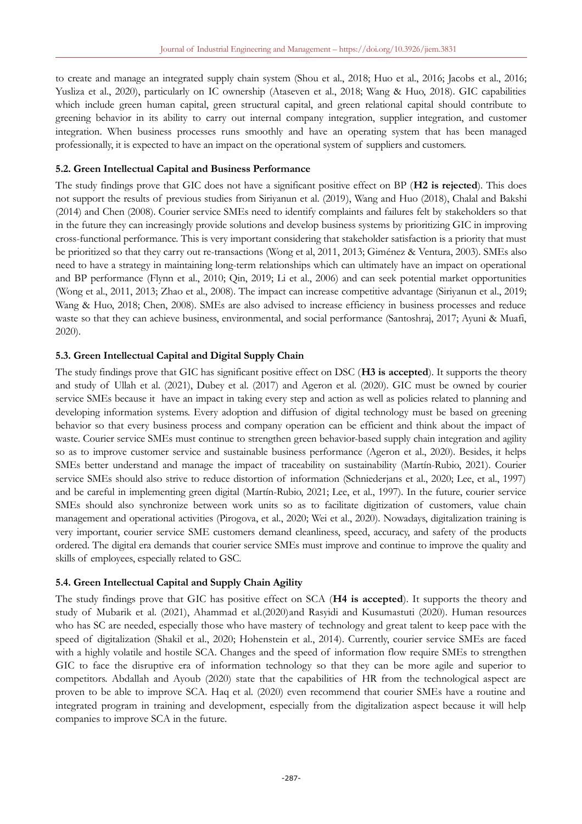to create and manage an integrated supply chain system (Shou et al., 2018; Huo et al., 2016; Jacobs et al., 2016; Yusliza et al., 2020), particularly on IC ownership (Ataseven et al., 2018; Wang & Huo, 2018). GIC capabilities which include green human capital, green structural capital, and green relational capital should contribute to greening behavior in its ability to carry out internal company integration, supplier integration, and customer integration. When business processes runs smoothly and have an operating system that has been managed professionally, it is expected to have an impact on the operational system of suppliers and customers.

### **5.2. Green Intellectual Capital and Business Performance**

The study findings prove that GIC does not have a significant positive effect on BP (**H2 is rejected**). This does not support the results of previous studies from Siriyanun et al. (2019), Wang and Huo (2018), Chalal and Bakshi (2014) and Chen (2008). Courier service SMEs need to identify complaints and failures felt by stakeholders so that in the future they can increasingly provide solutions and develop business systems by prioritizing GIC in improving cross-functional performance. This is very important considering that stakeholder satisfaction is a priority that must be prioritized so that they carry out re-transactions (Wong et al, 2011, 2013; Giménez & Ventura, 2003). SMEs also need to have a strategy in maintaining long-term relationships which can ultimately have an impact on operational and BP performance (Flynn et al., 2010; Qin, 2019; Li et al., 2006) and can seek potential market opportunities (Wong et al., 2011, 2013; Zhao et al., 2008). The impact can increase competitive advantage (Siriyanun et al., 2019; Wang & Huo, 2018; Chen, 2008). SMEs are also advised to increase efficiency in business processes and reduce waste so that they can achieve business, environmental, and social performance (Santoshraj, 2017; Ayuni & Muafi, 2020).

### **5.3. Green Intellectual Capital and Digital Supply Chain**

The study findings prove that GIC has significant positive effect on DSC (**H3 is accepted**). It supports the theory and study of Ullah et al. (2021), Dubey et al. (2017) and Ageron et al. (2020). GIC must be owned by courier service SMEs because it have an impact in taking every step and action as well as policies related to planning and developing information systems. Every adoption and diffusion of digital technology must be based on greening behavior so that every business process and company operation can be efficient and think about the impact of waste. Courier service SMEs must continue to strengthen green behavior-based supply chain integration and agility so as to improve customer service and sustainable business performance (Ageron et al., 2020). Besides, it helps SMEs better understand and manage the impact of traceability on sustainability (Martín-Rubio, 2021). Courier service SMEs should also strive to reduce distortion of information (Schniederjans et al., 2020; Lee, et al., 1997) and be careful in implementing green digital (Martín-Rubio, 2021; Lee, et al., 1997). In the future, courier service SMEs should also synchronize between work units so as to facilitate digitization of customers, value chain management and operational activities (Pirogova, et al., 2020; Wei et al., 2020). Nowadays, digitalization training is very important, courier service SME customers demand cleanliness, speed, accuracy, and safety of the products ordered. The digital era demands that courier service SMEs must improve and continue to improve the quality and skills of employees, especially related to GSC.

# **5.4. Green Intellectual Capital and Supply Chain Agility**

The study findings prove that GIC has positive effect on SCA (**H4 is accepted**). It supports the theory and study of Mubarik et al. (2021), Ahammad et al.(2020)and Rasyidi and Kusumastuti (2020). Human resources who has SC are needed, especially those who have mastery of technology and great talent to keep pace with the speed of digitalization (Shakil et al., 2020; Hohenstein et al., 2014). Currently, courier service SMEs are faced with a highly volatile and hostile SCA. Changes and the speed of information flow require SMEs to strengthen GIC to face the disruptive era of information technology so that they can be more agile and superior to competitors. Abdallah and Ayoub (2020) state that the capabilities of HR from the technological aspect are proven to be able to improve SCA. Haq et al. (2020) even recommend that courier SMEs have a routine and integrated program in training and development, especially from the digitalization aspect because it will help companies to improve SCA in the future.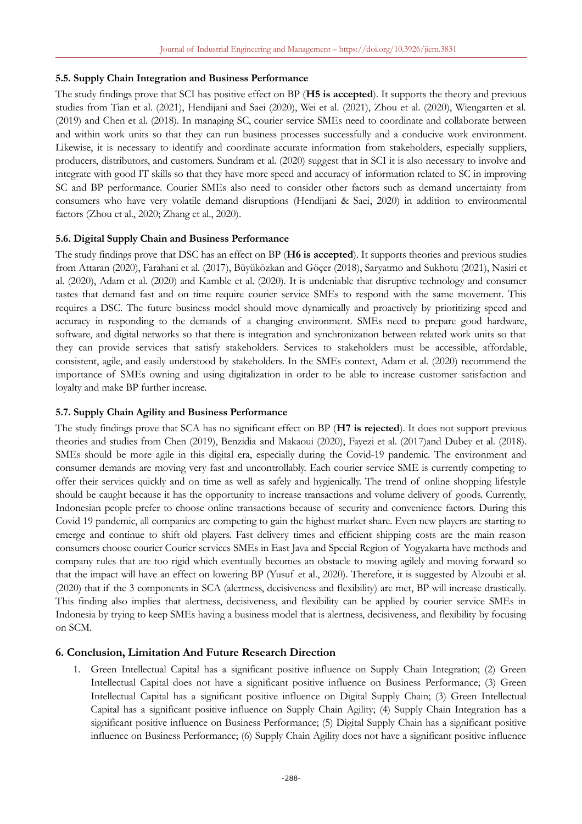### **5.5. Supply Chain Integration and Business Performance**

The study findings prove that SCI has positive effect on BP (**H5 is accepted**). It supports the theory and previous studies from Tian et al. (2021), Hendijani and Saei (2020), Wei et al. (2021), Zhou et al. (2020), Wiengarten et al. (2019) and Chen et al. (2018). In managing SC, courier service SMEs need to coordinate and collaborate between and within work units so that they can run business processes successfully and a conducive work environment. Likewise, it is necessary to identify and coordinate accurate information from stakeholders, especially suppliers, producers, distributors, and customers. Sundram et al. (2020) suggest that in SCI it is also necessary to involve and integrate with good IT skills so that they have more speed and accuracy of information related to SC in improving SC and BP performance. Courier SMEs also need to consider other factors such as demand uncertainty from consumers who have very volatile demand disruptions (Hendijani & Saei, 2020) in addition to environmental factors (Zhou et al., 2020; Zhang et al., 2020).

### **5.6. Digital Supply Chain and Business Performance**

The study findings prove that DSC has an effect on BP (**H6 is accepted**). It supports theories and previous studies from Attaran (2020), Farahani et al. (2017), Büyüközkan and Göçer (2018), Saryatmo and Sukhotu (2021), Nasiri et al. (2020), Adam et al. (2020) and Kamble et al. (2020). It is undeniable that disruptive technology and consumer tastes that demand fast and on time require courier service SMEs to respond with the same movement. This requires a DSC. The future business model should move dynamically and proactively by prioritizing speed and accuracy in responding to the demands of a changing environment. SMEs need to prepare good hardware, software, and digital networks so that there is integration and synchronization between related work units so that they can provide services that satisfy stakeholders. Services to stakeholders must be accessible, affordable, consistent, agile, and easily understood by stakeholders. In the SMEs context, Adam et al. (2020) recommend the importance of SMEs owning and using digitalization in order to be able to increase customer satisfaction and loyalty and make BP further increase.

### **5.7. Supply Chain Agility and Business Performance**

The study findings prove that SCA has no significant effect on BP (**H7 is rejected**). It does not support previous theories and studies from Chen (2019), Benzidia and Makaoui (2020), Fayezi et al. (2017)and Dubey et al. (2018). SMEs should be more agile in this digital era, especially during the Covid-19 pandemic. The environment and consumer demands are moving very fast and uncontrollably. Each courier service SME is currently competing to offer their services quickly and on time as well as safely and hygienically. The trend of online shopping lifestyle should be caught because it has the opportunity to increase transactions and volume delivery of goods. Currently, Indonesian people prefer to choose online transactions because of security and convenience factors. During this Covid 19 pandemic, all companies are competing to gain the highest market share. Even new players are starting to emerge and continue to shift old players. Fast delivery times and efficient shipping costs are the main reason consumers choose courier Courier services SMEs in East Java and Special Region of Yogyakarta have methods and company rules that are too rigid which eventually becomes an obstacle to moving agilely and moving forward so that the impact will have an effect on lowering BP (Yusuf et al., 2020). Therefore, it is suggested by Alzoubi et al. (2020) that if the 3 components in SCA (alertness, decisiveness and flexibility) are met, BP will increase drastically. This finding also implies that alertness, decisiveness, and flexibility can be applied by courier service SMEs in Indonesia by trying to keep SMEs having a business model that is alertness, decisiveness, and flexibility by focusing on SCM.

### **6. Conclusion, Limitation And Future Research Direction**

1. Green Intellectual Capital has a significant positive influence on Supply Chain Integration; (2) Green Intellectual Capital does not have a significant positive influence on Business Performance; (3) Green Intellectual Capital has a significant positive influence on Digital Supply Chain; (3) Green Intellectual Capital has a significant positive influence on Supply Chain Agility; (4) Supply Chain Integration has a significant positive influence on Business Performance; (5) Digital Supply Chain has a significant positive influence on Business Performance; (6) Supply Chain Agility does not have a significant positive influence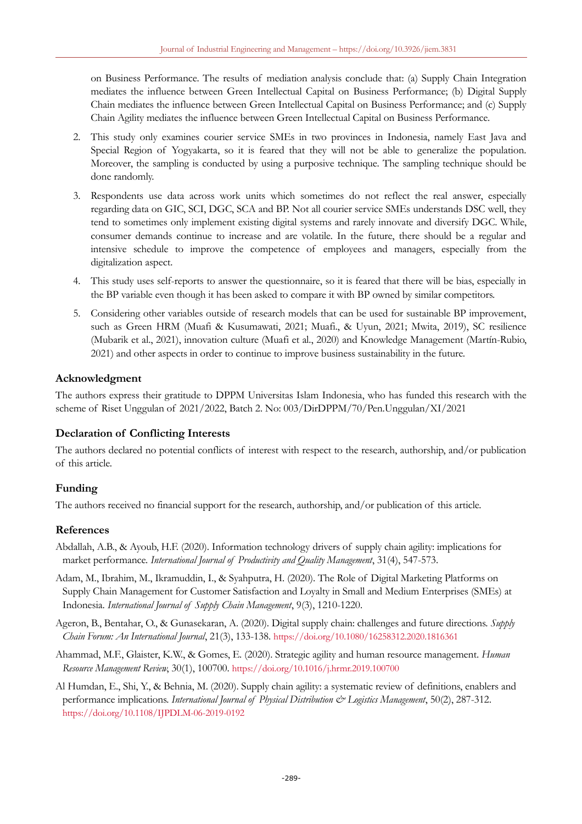on Business Performance. The results of mediation analysis conclude that: (a) Supply Chain Integration mediates the influence between Green Intellectual Capital on Business Performance; (b) Digital Supply Chain mediates the influence between Green Intellectual Capital on Business Performance; and (c) Supply Chain Agility mediates the influence between Green Intellectual Capital on Business Performance.

- 2. This study only examines courier service SMEs in two provinces in Indonesia, namely East Java and Special Region of Yogyakarta, so it is feared that they will not be able to generalize the population. Moreover, the sampling is conducted by using a purposive technique. The sampling technique should be done randomly.
- 3. Respondents use data across work units which sometimes do not reflect the real answer, especially regarding data on GIC, SCI, DGC, SCA and BP. Not all courier service SMEs understands DSC well, they tend to sometimes only implement existing digital systems and rarely innovate and diversify DGC. While, consumer demands continue to increase and are volatile. In the future, there should be a regular and intensive schedule to improve the competence of employees and managers, especially from the digitalization aspect.
- 4. This study uses self-reports to answer the questionnaire, so it is feared that there will be bias, especially in the BP variable even though it has been asked to compare it with BP owned by similar competitors.
- 5. Considering other variables outside of research models that can be used for sustainable BP improvement, such as Green HRM (Muafi & Kusumawati, 2021; Muafi., & Uyun, 2021; Mwita, 2019), SC resilience (Mubarik et al., 2021), innovation culture (Muafi et al., 2020) and Knowledge Management (Martín-Rubio, 2021) and other aspects in order to continue to improve business sustainability in the future.

# **Acknowledgment**

The authors express their gratitude to DPPM Universitas Islam Indonesia, who has funded this research with the scheme of Riset Unggulan of 2021/2022, Batch 2. No: 003/DirDPPM/70/Pen.Unggulan/XI/2021

# **Declaration of Conflicting Interests**

The authors declared no potential conflicts of interest with respect to the research, authorship, and/or publication of this article.

# **Funding**

The authors received no financial support for the research, authorship, and/or publication of this article.

### **References**

- Abdallah, A.B., & Ayoub, H.F. (2020). Information technology drivers of supply chain agility: implications for market performance. *International Journal of Productivity and Quality Management*, 31(4), 547-573.
- Adam, M., Ibrahim, M., Ikramuddin, I., & Syahputra, H. (2020). The Role of Digital Marketing Platforms on Supply Chain Management for Customer Satisfaction and Loyalty in Small and Medium Enterprises (SMEs) at Indonesia. *International Journal of Supply Chain Management*, 9(3), 1210-1220.
- Ageron, B., Bentahar, O., & Gunasekaran, A. (2020). Digital supply chain: challenges and future directions. *Supply Chain Forum: An International Journal*, 21(3), 133-138. <https://doi.org/10.1080/16258312.2020.1816361>
- Ahammad, M.F., Glaister, K.W., & Gomes, E. (2020). Strategic agility and human resource management. *Human Resource Management Review*, 30(1), 100700. <https://doi.org/10.1016/j.hrmr.2019.100700>
- Al Humdan, E., Shi, Y., & Behnia, M. (2020). Supply chain agility: a systematic review of definitions, enablers and performance implications. *International Journal of Physical Distribution & Logistics Management*, 50(2), 287-312. <https://doi.org/10.1108/IJPDLM-06-2019-0192>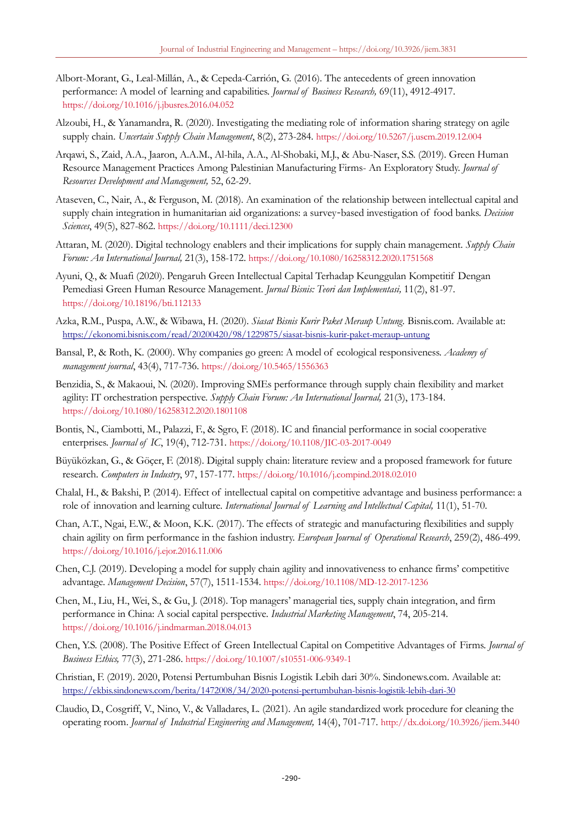- Albort-Morant, G., Leal-Millán, A., & Cepeda-Carrión, G. (2016). The antecedents of green innovation performance: A model of learning and capabilities. *Journal of Business Research,* 69(11), 4912-4917. <https://doi.org/10.1016/j.jbusres.2016.04.052>
- Alzoubi, H., & Yanamandra, R. (2020). Investigating the mediating role of information sharing strategy on agile supply chain. *Uncertain Supply Chain Management*, 8(2), 273-284. <https://doi.org/10.5267/j.uscm.2019.12.004>
- Arqawi, S., Zaid, A.A., Jaaron, A.A.M., Al-hila, A.A., Al-Shobaki, M.J., & Abu-Naser, S.S. (2019). Green Human Resource Management Practices Among Palestinian Manufacturing Firms- An Exploratory Study. *Journal of Resources Development and Management,* 52, 62-29.
- Ataseven, C., Nair, A., & Ferguson, M. (2018). An examination of the relationship between intellectual capital and supply chain integration in humanitarian aid organizations: a survey‐based investigation of food banks. *Decision Sciences*, 49(5), 827-862. <https://doi.org/10.1111/deci.12300>
- Attaran, M. (2020). Digital technology enablers and their implications for supply chain management. *Supply Chain Forum: An International Journal,* 21(3), 158-172. <https://doi.org/10.1080/16258312.2020.1751568>
- Ayuni, Q., & Muafi (2020). Pengaruh Green Intellectual Capital Terhadap Keunggulan Kompetitif Dengan Pemediasi Green Human Resource Management. *Jurnal Bisnis: Teori dan Implementasi,* 11(2), 81-97. <https://doi.org/10.18196/bti.112133>
- Azka, R.M., Puspa, A.W., & Wibawa, H. (2020). *Siasat Bisnis Kurir Paket Meraup Untung.* Bisnis.com. Available at: <https://ekonomi.bisnis.com/read/20200420/98/1229875/siasat-bisnis-kurir-paket-meraup-untung>
- Bansal, P., & Roth, K. (2000). Why companies go green: A model of ecological responsiveness. *Academy of management journal*, 43(4), 717-736. <https://doi.org/10.5465/1556363>
- Benzidia, S., & Makaoui, N. (2020). Improving SMEs performance through supply chain flexibility and market agility: IT orchestration perspective. *Supply Chain Forum: An International Journal,* 21(3), 173-184. <https://doi.org/10.1080/16258312.2020.1801108>
- Bontis, N., Ciambotti, M., Palazzi, F., & Sgro, F. (2018). IC and financial performance in social cooperative enterprises. *Journal of IC*, 19(4), 712-731. <https://doi.org/10.1108/JIC-03-2017-0049>
- Büyüközkan, G., & Göçer, F. (2018). Digital supply chain: literature review and a proposed framework for future research. *Computers in Industry*, 97, 157-177. <https://doi.org/10.1016/j.compind.2018.02.010>
- Chalal, H., & Bakshi, P. (2014). Effect of intellectual capital on competitive advantage and business performance: a role of innovation and learning culture. *International Journal of Learning and Intellectual Capital,* 11(1), 51-70.
- Chan, A.T., Ngai, E.W., & Moon, K.K. (2017). The effects of strategic and manufacturing flexibilities and supply chain agility on firm performance in the fashion industry. *European Journal of Operational Research*, 259(2), 486-499. <https://doi.org/10.1016/j.ejor.2016.11.006>
- Chen, C.J. (2019). Developing a model for supply chain agility and innovativeness to enhance firms' competitive advantage. *Management Decision*, 57(7), 1511-1534. <https://doi.org/10.1108/MD-12-2017-1236>
- Chen, M., Liu, H., Wei, S., & Gu, J. (2018). Top managers' managerial ties, supply chain integration, and firm performance in China: A social capital perspective. *Industrial Marketing Management*, 74, 205-214. <https://doi.org/10.1016/j.indmarman.2018.04.013>
- Chen, Y.S. (2008). The Positive Effect of Green Intellectual Capital on Competitive Advantages of Firms. *Journal of Business Ethics,* 77(3), 271-286. <https://doi.org/10.1007/s10551-006-9349-1>
- Christian, F. (2019). 2020, Potensi Pertumbuhan Bisnis Logistik Lebih dari 30%. Sindonews.com. Available at: <https://ekbis.sindonews.com/berita/1472008/34/2020-potensi-pertumbuhan-bisnis-logistik-lebih-dari-30>
- Claudio, D., Cosgriff, V., Nino, V., & Valladares, L. (2021). An agile standardized work procedure for cleaning the operating room. *Journal of Industrial Engineering and Management,* 14(4), 701-717. <http://dx.doi.org/10.3926/jiem.3440>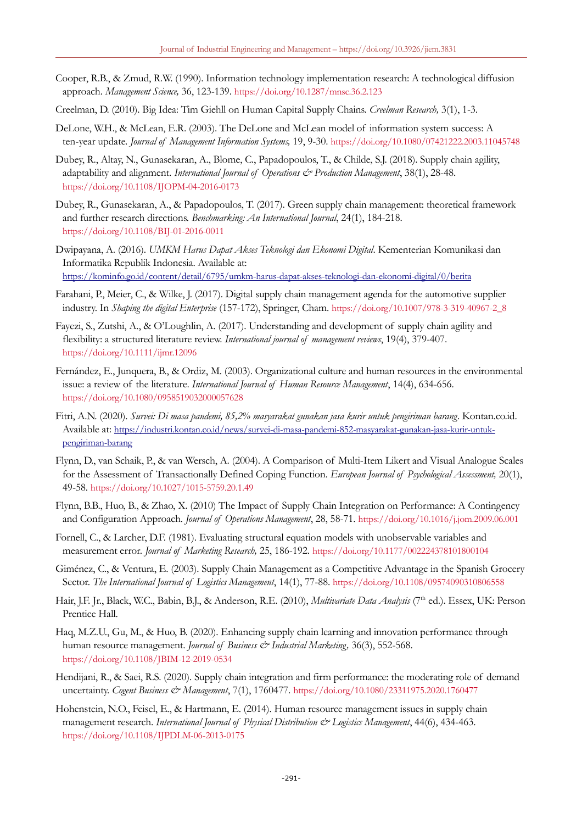- Cooper, R.B., & Zmud, R.W. (1990). Information technology implementation research: A technological diffusion approach. *Management Science,* 36, 123-139. <https://doi.org/10.1287/mnsc.36.2.123>
- Creelman, D. (2010). Big Idea: Tim Giehll on Human Capital Supply Chains. *Creelman Research,* 3(1), 1-3.
- DeLone, W.H., & McLean, E.R. (2003). The DeLone and McLean model of information system success: A ten-year update. *Journal of Management Information Systems,* 19, 9-30. <https://doi.org/10.1080/07421222.2003.11045748>
- Dubey, R., Altay, N., Gunasekaran, A., Blome, C., Papadopoulos, T., & Childe, S.J. (2018). Supply chain agility, adaptability and alignment. *International Journal of Operations & Production Management*, 38(1), 28-48. <https://doi.org/10.1108/IJOPM-04-2016-0173>
- Dubey, R., Gunasekaran, A., & Papadopoulos, T. (2017). Green supply chain management: theoretical framework and further research directions. *Benchmarking: An International Journal*, 24(1), 184-218. <https://doi.org/10.1108/BIJ-01-2016-0011>
- Dwipayana, A. (2016). *UMKM Harus Dapat Akses Teknologi dan Ekonomi Digital*. Kementerian Komunikasi dan Informatika Republik Indonesia. Available at: <https://kominfo.go.id/content/detail/6795/umkm-harus-dapat-akses-teknologi-dan-ekonomi-digital/0/berita>
- Farahani, P., Meier, C., & Wilke, J. (2017). Digital supply chain management agenda for the automotive supplier industry. In *Shaping the digital Enterprise* (157-172), Springer, Cham. [https://doi.org/10.1007/978-3-319-40967-2\\_8](https://doi.org/10.1007/978-3-319-40967-2_8)
- Fayezi, S., Zutshi, A., & O'Loughlin, A. (2017). Understanding and development of supply chain agility and flexibility: a structured literature review. *International journal of management reviews*, 19(4), 379-407. <https://doi.org/10.1111/ijmr.12096>
- Fernández, E., Junquera, B., & Ordiz, M. (2003). Organizational culture and human resources in the environmental issue: a review of the literature. *International Journal of Human Resource Management*, 14(4), 634-656. <https://doi.org/10.1080/0958519032000057628>
- Fitri, A.N. (2020). *Survei: Di masa pandemi, 85,2% masyarakat gunakan jasa kurir untuk pengiriman barang*. Kontan.co.id. Available at: [https://industri.kontan.co.id/news/survei-di-masa-pandemi-852-masyarakat-gunakan-jasa-kurir-untuk](https://industri.kontan.co.id/news/survei-di-masa-pandemi-852-masyarakat-gunakan-jasa-kurir-untuk-pengiriman-barang)[pengiriman-barang](https://industri.kontan.co.id/news/survei-di-masa-pandemi-852-masyarakat-gunakan-jasa-kurir-untuk-pengiriman-barang)
- Flynn, D., van Schaik, P., & van Wersch, A. (2004). A Comparison of Multi-Item Likert and Visual Analogue Scales for the Assessment of Transactionally Defined Coping Function. *European Journal of Psychological Assessment,* 20(1), 49-58. <https://doi.org/10.1027/1015-5759.20.1.49>
- Flynn, B.B., Huo, B., & Zhao, X. (2010) The Impact of Supply Chain Integration on Performance: A Contingency and Configuration Approach. *Journal of Operations Management*, 28, 58-71. <https://doi.org/10.1016/j.jom.2009.06.001>
- Fornell, C., & Larcher, D.F. (1981). Evaluating structural equation models with unobservable variables and measurement error. *Journal of Marketing Research,* 25, 186-192. <https://doi.org/10.1177/002224378101800104>
- Giménez, C., & Ventura, E. (2003). Supply Chain Management as a Competitive Advantage in the Spanish Grocery Sector. *The International Journal of Logistics Management*, 14(1), 77-88. <https://doi.org/10.1108/09574090310806558>
- Hair, J.F. Jr., Black, W.C., Babin, B.J., & Anderson, R.E. (2010), *Multivariate Data Analysis* (7th ed.). Essex, UK: Person Prentice Hall.
- Haq, M.Z.U., Gu, M., & Huo, B. (2020). Enhancing supply chain learning and innovation performance through human resource management. *Journal of Business & Industrial Marketing*, 36(3), 552-568. <https://doi.org/10.1108/JBIM-12-2019-0534>
- Hendijani, R., & Saei, R.S. (2020). Supply chain integration and firm performance: the moderating role of demand uncertainty. *Cogent Business & Management*, 7(1), 1760477. <https://doi.org/10.1080/23311975.2020.1760477>
- Hohenstein, N.O., Feisel, E., & Hartmann, E. (2014). Human resource management issues in supply chain management research. *International Journal of Physical Distribution & Logistics Management*, 44(6), 434-463. <https://doi.org/10.1108/IJPDLM-06-2013-0175>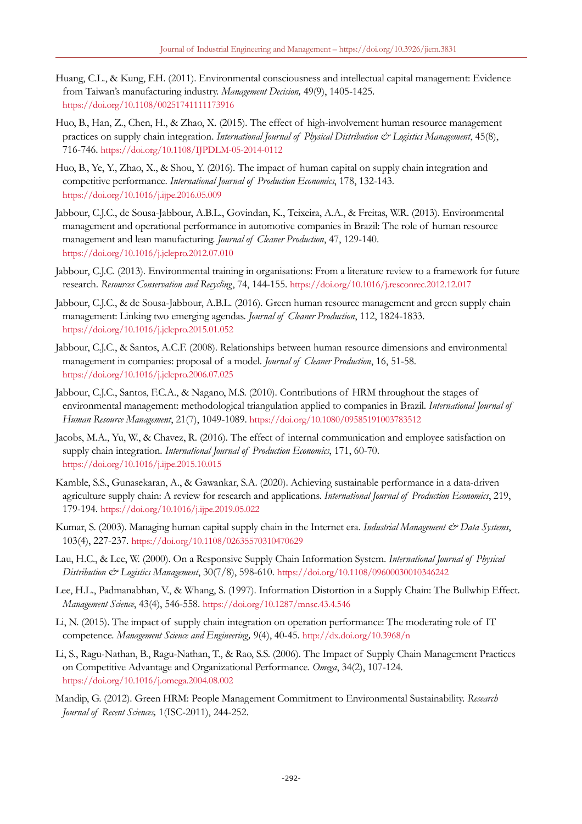- Huang, C.L., & Kung, F.H. (2011). Environmental consciousness and intellectual capital management: Evidence from Taiwan's manufacturing industry. *Management Decision,* 49(9), 1405-1425. <https://doi.org/10.1108/00251741111173916>
- Huo, B., Han, Z., Chen, H., & Zhao, X. (2015). The effect of high-involvement human resource management practices on supply chain integration. *International Journal of Physical Distribution & Logistics Management*, 45(8), 716-746. <https://doi.org/10.1108/IJPDLM-05-2014-0112>
- Huo, B., Ye, Y., Zhao, X., & Shou, Y. (2016). The impact of human capital on supply chain integration and competitive performance. *International Journal of Production Economics*, 178, 132-143. <https://doi.org/10.1016/j.ijpe.2016.05.009>
- Jabbour, C.J.C., de Sousa-Jabbour, A.B.L., Govindan, K., Teixeira, A.A., & Freitas, W.R. (2013). Environmental management and operational performance in automotive companies in Brazil: The role of human resource management and lean manufacturing. *Journal of Cleaner Production*, 47, 129-140. <https://doi.org/10.1016/j.jclepro.2012.07.010>
- Jabbour, C.J.C. (2013). Environmental training in organisations: From a literature review to a framework for future research. *Resources Conservation and Recycling*, 74, 144-155. <https://doi.org/10.1016/j.resconrec.2012.12.017>
- Jabbour, C.J.C., & de Sousa-Jabbour, A.B.L. (2016). Green human resource management and green supply chain management: Linking two emerging agendas. *Journal of Cleaner Production*, 112, 1824-1833. <https://doi.org/10.1016/j.jclepro.2015.01.052>
- Jabbour, C.J.C., & Santos, A.C.F. (2008). Relationships between human resource dimensions and environmental management in companies: proposal of a model. *Journal of Cleaner Production*, 16, 51-58. <https://doi.org/10.1016/j.jclepro.2006.07.025>
- Jabbour, C.J.C., Santos, F.C.A., & Nagano, M.S. (2010). Contributions of HRM throughout the stages of environmental management: methodological triangulation applied to companies in Brazil. *International Journal of Human Resource Management*, 21(7), 1049-1089. <https://doi.org/10.1080/09585191003783512>
- Jacobs, M.A., Yu, W., & Chavez, R. (2016). The effect of internal communication and employee satisfaction on supply chain integration. *International Journal of Production Economics*, 171, 60-70. <https://doi.org/10.1016/j.ijpe.2015.10.015>
- Kamble, S.S., Gunasekaran, A., & Gawankar, S.A. (2020). Achieving sustainable performance in a data-driven agriculture supply chain: A review for research and applications. *International Journal of Production Economics*, 219, 179-194. <https://doi.org/10.1016/j.ijpe.2019.05.022>
- Kumar, S. (2003). Managing human capital supply chain in the Internet era. *Industrial Management & Data Systems*, 103(4), 227-237. <https://doi.org/10.1108/02635570310470629>
- Lau, H.C., & Lee, W. (2000). On a Responsive Supply Chain Information System. *International Journal of Physical Distribution & Logistics Management*, 30(7/8), 598-610. <https://doi.org/10.1108/09600030010346242>
- Lee, H.L., Padmanabhan, V., & Whang, S. (1997). Information Distortion in a Supply Chain: The Bullwhip Effect. *Management Science*, 43(4), 546-558. <https://doi.org/10.1287/mnsc.43.4.546>
- Li, N. (2015). The impact of supply chain integration on operation performance: The moderating role of IT competence. *Management Science and Engineering,* 9(4), 40-45. <http://dx.doi.org/10.3968/n>
- Li, S., Ragu-Nathan, B., Ragu-Nathan, T., & Rao, S.S. (2006). The Impact of Supply Chain Management Practices on Competitive Advantage and Organizational Performance*. Omega*, 34(2), 107-124. <https://doi.org/10.1016/j.omega.2004.08.002>
- Mandip, G. (2012). Green HRM: People Management Commitment to Environmental Sustainability. *Research Journal of Recent Sciences,* 1(ISC-2011), 244-252.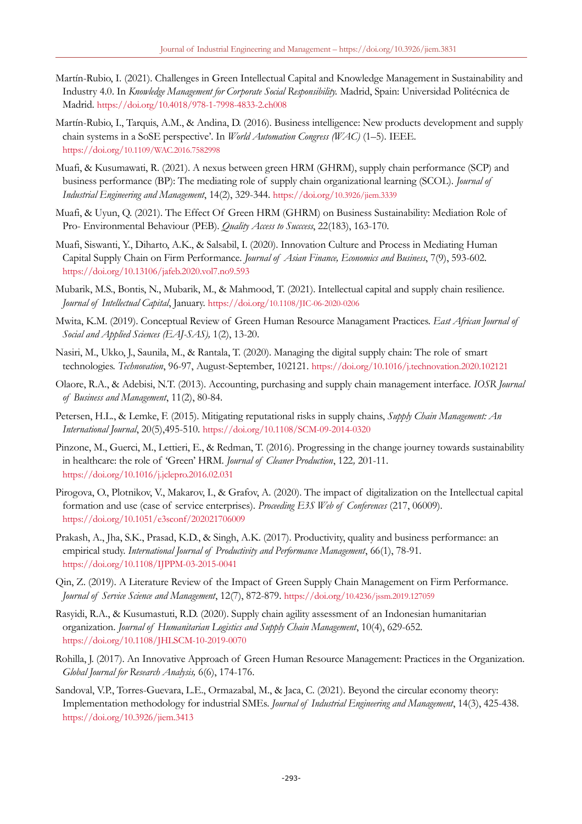- Martín-Rubio, I. (2021). Challenges in Green Intellectual Capital and Knowledge Management in Sustainability and Industry 4.0. In *Knowledge Management for Corporate Social Responsibility.* Madrid, Spain: Universidad Politécnica de Madrid. <https://doi.org/10.4018/978-1-7998-4833-2.ch008>
- Martín-Rubio, I., Tarquis, A.M., & Andina, D. (2016). Business intelligence: New products development and supply chain systems in a SoSE perspective'. In *World Automation Congress (WAC)* (1–5). IEEE. [https://doi.org/](https://doi.org/10.1109/WAC.2016.7582998)[10.1109/WAC.2016.7582998](https://doi.org/10.1109/WAC.2016.7582998)
- Muafi, & Kusumawati, R. (2021). A nexus between green HRM (GHRM), supply chain performance (SCP) and business performance (BP): The mediating role of supply chain organizational learning (SCOL). *Journal of Industrial Engineering and Management*, 14(2), 329-344. [https://doi.org/](https://doi.org/10.3926/jiem.3339)[10.3926/jiem.3339](https://doi.org/10.3926/jiem.3339)
- Muafi, & Uyun, Q. (2021). The Effect Of Green HRM (GHRM) on Business Sustainability: Mediation Role of Pro- Environmental Behaviour (PEB). *Quality Access to Succcess*, 22(183), 163-170.
- Muafi, Siswanti, Y., Diharto, A.K., & Salsabil, I. (2020). Innovation Culture and Process in Mediating Human Capital Supply Chain on Firm Performance. *Journal of Asian Finance, Economics and Business*, 7(9), 593-602. <https://doi.org/10.13106/jafeb.2020.vol7.no9.593>
- Mubarik, M.S., Bontis, N., Mubarik, M., & Mahmood, T. (2021). Intellectual capital and supply chain resilience. *Journal of Intellectual Capital*, January. [https://doi.org/](https://doi.org/10.1108/JIC-06-2020-0206)[10.1108/JIC-06-2020-0206](https://doi.org/10.1108/JIC-06-2020-0206)
- Mwita, K.M. (2019). Conceptual Review of Green Human Resource Managament Practices. *East African Journal of Social and Applied Sciences (EAJ-SAS),* 1(2), 13-20.
- Nasiri, M., Ukko, J., Saunila, M., & Rantala, T. (2020). Managing the digital supply chain: The role of smart technologies. *Technovation*, 96-97, August-September, 102121. <https://doi.org/10.1016/j.technovation.2020.102121>
- Olaore, R.A., & Adebisi, N.T. (2013). Accounting, purchasing and supply chain management interface. *IOSR Journal of Business and Management*, 11(2), 80-84.
- Petersen, H.L., & Lemke, F. (2015). Mitigating reputational risks in supply chains, *Supply Chain Management: An International Journal*, 20(5),495-510. <https://doi.org/10.1108/SCM-09-2014-0320>
- Pinzone, M., Guerci, M., Lettieri, E., & Redman, T. (2016). Progressing in the change journey towards sustainability in healthcare: the role of 'Green' HRM. *Journal of Cleaner Production*, 122*,* 201-11. <https://doi.org/10.1016/j.jclepro.2016.02.031>
- Pirogova, O., Plotnikov, V., Makarov, I., & Grafov, A. (2020). The impact of digitalization on the Intellectual capital formation and use (case of service enterprises). *Proceeding E3S Web of Conferences* (217, 06009). <https://doi.org/10.1051/e3sconf/202021706009>
- Prakash, A., Jha, S.K., Prasad, K.D., & Singh, A.K. (2017). Productivity, quality and business performance: an empirical study. *International Journal of Productivity and Performance Management*, 66(1), 78-91. <https://doi.org/10.1108/IJPPM-03-2015-0041>
- Qin, Z. (2019). A Literature Review of the Impact of Green Supply Chain Management on Firm Performance. *Journal of Service Science and Management*, 12(7), 872-879. [https://doi.org/](https://doi.org/10.4236/jssm.2019.127059)[10.4236/jssm.2019.127059](https://doi.org/10.4236/jssm.2019.127059)
- Rasyidi, R.A., & Kusumastuti, R.D. (2020). Supply chain agility assessment of an Indonesian humanitarian organization. *Journal of Humanitarian Logistics and Supply Chain Management*, 10(4), 629-652. <https://doi.org/10.1108/JHLSCM-10-2019-0070>
- Rohilla, J. (2017). An Innovative Approach of Green Human Resource Management: Practices in the Organization. *Global Journal for Research Analysis,* 6(6), 174-176.
- Sandoval, V.P., Torres-Guevara, L.E., Ormazabal, M., & Jaca, C. (2021). Beyond the circular economy theory: Implementation methodology for industrial SMEs. *Journal of Industrial Engineering and Management*, 14(3), 425-438. <https://doi.org/10.3926/jiem.3413>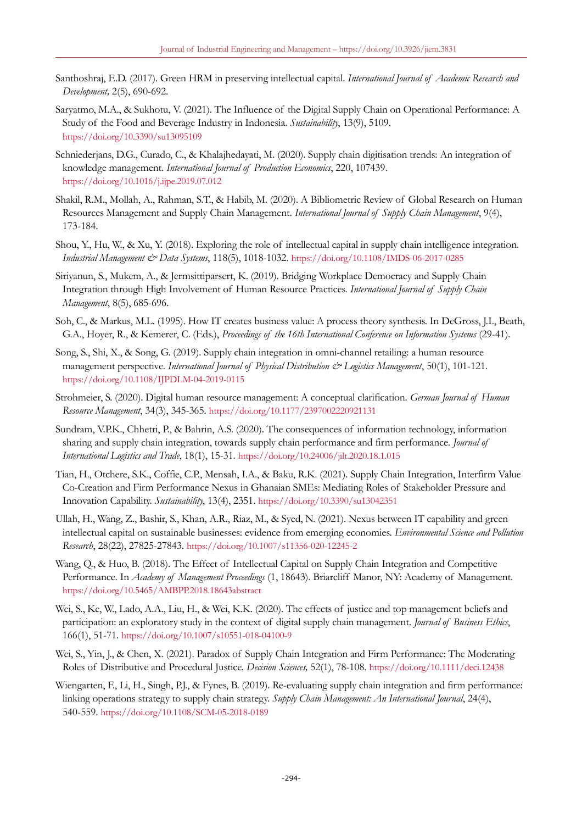- Santhoshraj, E.D. (2017). Green HRM in preserving intellectual capital. *International Journal of Academic Research and Development,* 2(5), 690-692.
- Saryatmo, M.A., & Sukhotu, V. (2021). The Influence of the Digital Supply Chain on Operational Performance: A Study of the Food and Beverage Industry in Indonesia. *Sustainability*, 13(9), 5109. <https://doi.org/10.3390/su13095109>
- Schniederjans, D.G., Curado, C., & Khalajhedayati, M. (2020). Supply chain digitisation trends: An integration of knowledge management. *International Journal of Production Economics*, 220, 107439. <https://doi.org/10.1016/j.ijpe.2019.07.012>
- Shakil, R.M., Mollah, A., Rahman, S.T., & Habib, M. (2020). A Bibliometric Review of Global Research on Human Resources Management and Supply Chain Management. *International Journal of Supply Chain Management*, 9(4), 173-184.
- Shou, Y., Hu, W., & Xu, Y. (2018). Exploring the role of intellectual capital in supply chain intelligence integration. *Industrial Management & Data Systems*, 118(5), 1018-1032. <https://doi.org/10.1108/IMDS-06-2017-0285>
- Siriyanun, S., Mukem, A., & Jermsittiparsert, K. (2019). Bridging Workplace Democracy and Supply Chain Integration through High Involvement of Human Resource Practices. *International Journal of Supply Chain Management*, 8(5), 685-696.
- Soh, C., & Markus, M.L. (1995). How IT creates business value: A process theory synthesis. In DeGross, J.I., Beath, G.A., Hoyer, R., & Kemerer, C. (Eds.), *Proceedings of the 16th International Conference on Information Systems* (29-41)*.*
- Song, S., Shi, X., & Song, G. (2019). Supply chain integration in omni-channel retailing: a human resource management perspective. *International Journal of Physical Distribution & Logistics Management*, 50(1), 101-121. <https://doi.org/10.1108/IJPDLM-04-2019-0115>
- Strohmeier, S. (2020). Digital human resource management: A conceptual clarification. *German Journal of Human Resource Management*, 34(3), 345-365. <https://doi.org/10.1177/2397002220921131>
- Sundram, V.P.K., Chhetri, P., & Bahrin, A.S. (2020). The consequences of information technology, information sharing and supply chain integration, towards supply chain performance and firm performance. *Journal of International Logistics and Trade*, 18(1), 15-31. <https://doi.org/10.24006/jilt.2020.18.1.015>
- Tian, H., Otchere, S.K., Coffie, C.P., Mensah, I.A., & Baku, R.K. (2021). Supply Chain Integration, Interfirm Value Co-Creation and Firm Performance Nexus in Ghanaian SMEs: Mediating Roles of Stakeholder Pressure and Innovation Capability. *Sustainability*, 13(4), 2351. <https://doi.org/10.3390/su13042351>
- Ullah, H., Wang, Z., Bashir, S., Khan, A.R., Riaz, M., & Syed, N. (2021). Nexus between IT capability and green intellectual capital on sustainable businesses: evidence from emerging economies. *Environmental Science and Pollution Research*, 28(22), 27825-27843. <https://doi.org/10.1007/s11356-020-12245-2>
- Wang, Q., & Huo, B. (2018). The Effect of Intellectual Capital on Supply Chain Integration and Competitive Performance. In *Academy of Management Proceedings* (1, 18643). Briarcliff Manor, NY: Academy of Management. <https://doi.org/10.5465/AMBPP.2018.18643abstract>
- Wei, S., Ke, W., Lado, A.A., Liu, H., & Wei, K.K. (2020). The effects of justice and top management beliefs and participation: an exploratory study in the context of digital supply chain management. *Journal of Business Ethics*, 166(1), 51-71. <https://doi.org/10.1007/s10551-018-04100-9>
- Wei, S., Yin, J., & Chen, X. (2021). Paradox of Supply Chain Integration and Firm Performance: The Moderating Roles of Distributive and Procedural Justice. *Decision Sciences,* 52(1), 78-108. <https://doi.org/10.1111/deci.12438>
- Wiengarten, F., Li, H., Singh, P.J., & Fynes, B. (2019). Re-evaluating supply chain integration and firm performance: linking operations strategy to supply chain strategy. *Supply Chain Management: An International Journal*, 24(4), 540-559. <https://doi.org/10.1108/SCM-05-2018-0189>